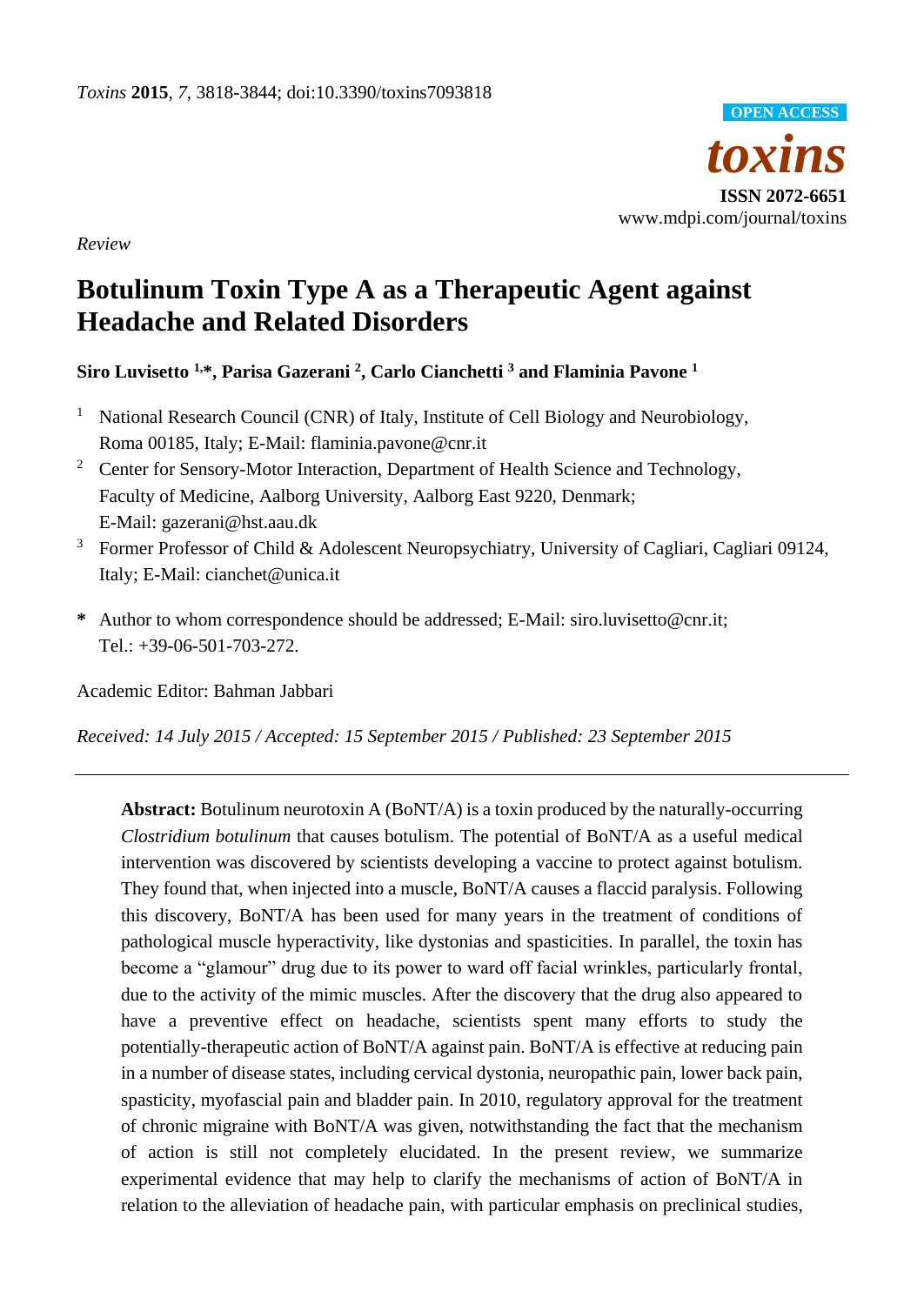

*Review*

# **Botulinum Toxin Type A as a Therapeutic Agent against Headache and Related Disorders**

# **Siro Luvisetto 1,\*, Parisa Gazerani <sup>2</sup> , Carlo Cianchetti <sup>3</sup> and Flaminia Pavone <sup>1</sup>**

- <sup>1</sup> National Research Council (CNR) of Italy, Institute of Cell Biology and Neurobiology, Roma 00185, Italy; E-Mail: flaminia.pavone@cnr.it
- <sup>2</sup> Center for Sensory-Motor Interaction, Department of Health Science and Technology, Faculty of Medicine, Aalborg University, Aalborg East 9220, Denmark; E-Mail: gazerani@hst.aau.dk
- <sup>3</sup> Former Professor of Child & Adolescent Neuropsychiatry, University of Cagliari, Cagliari 09124, Italy; E-Mail: cianchet@unica.it
- **\*** Author to whom correspondence should be addressed; E-Mail: siro.luvisetto@cnr.it; Tel.: +39-06-501-703-272.

Academic Editor: Bahman Jabbari

*Received: 14 July 2015 / Accepted: 15 September 2015 / Published: 23 September 2015*

**Abstract:** Botulinum neurotoxin A (BoNT/A) is a toxin produced by the naturally-occurring *Clostridium botulinum* that causes botulism. The potential of BoNT/A as a useful medical intervention was discovered by scientists developing a vaccine to protect against botulism. They found that, when injected into a muscle, BoNT/A causes a flaccid paralysis. Following this discovery, BoNT/A has been used for many years in the treatment of conditions of pathological muscle hyperactivity, like dystonias and spasticities. In parallel, the toxin has become a "glamour" drug due to its power to ward off facial wrinkles, particularly frontal, due to the activity of the mimic muscles. After the discovery that the drug also appeared to have a preventive effect on headache, scientists spent many efforts to study the potentially-therapeutic action of BoNT/A against pain. BoNT/A is effective at reducing pain in a number of disease states, including cervical dystonia, neuropathic pain, lower back pain, spasticity, myofascial pain and bladder pain. In 2010, regulatory approval for the treatment of chronic migraine with BoNT/A was given, notwithstanding the fact that the mechanism of action is still not completely elucidated. In the present review, we summarize experimental evidence that may help to clarify the mechanisms of action of BoNT/A in relation to the alleviation of headache pain, with particular emphasis on preclinical studies,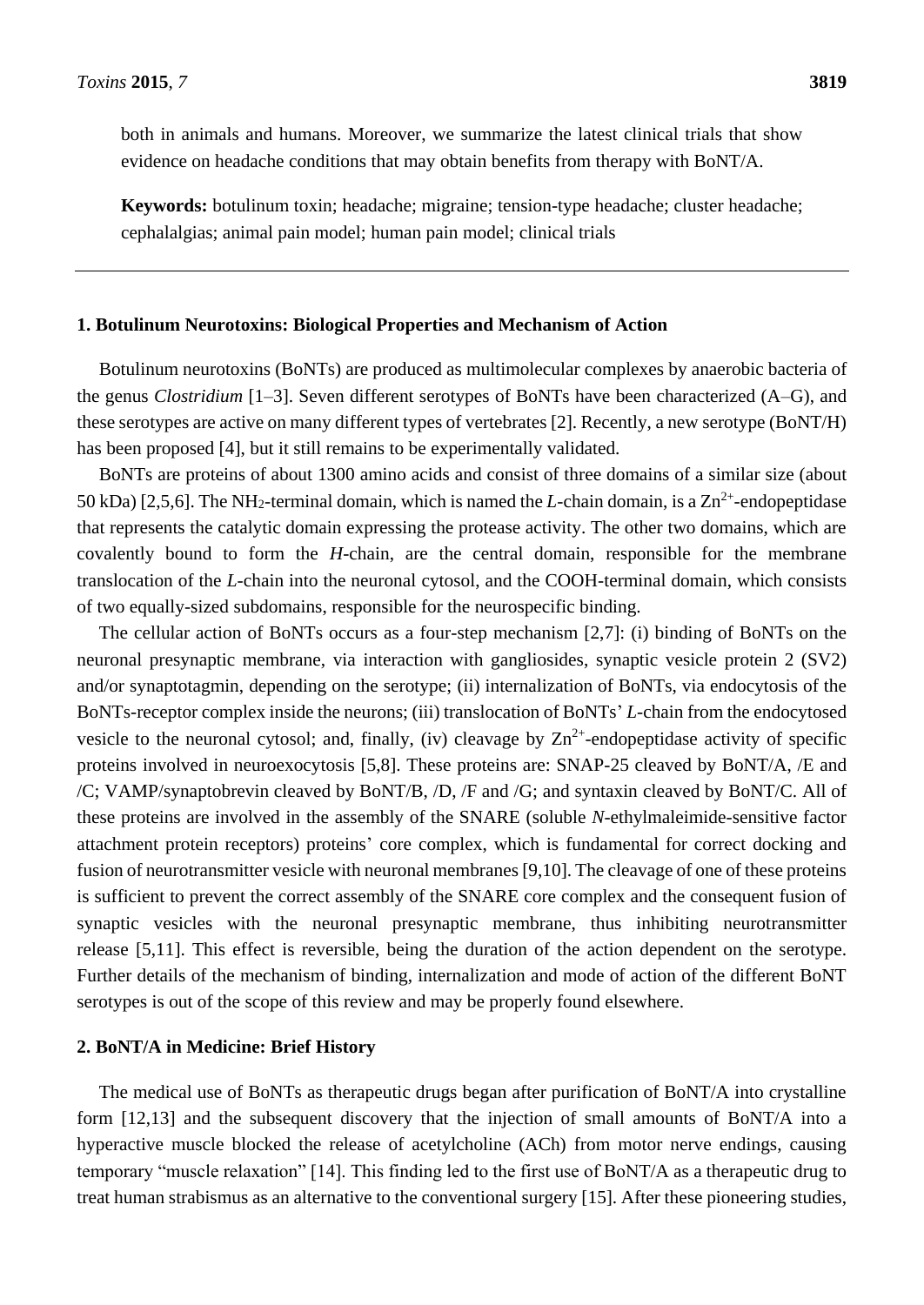both in animals and humans. Moreover, we summarize the latest clinical trials that show evidence on headache conditions that may obtain benefits from therapy with BoNT/A.

**Keywords:** botulinum toxin; headache; migraine; tension-type headache; cluster headache; cephalalgias; animal pain model; human pain model; clinical trials

#### **1. Botulinum Neurotoxins: Biological Properties and Mechanism of Action**

Botulinum neurotoxins (BoNTs) are produced as multimolecular complexes by anaerobic bacteria of the genus *Clostridium* [1–3]. Seven different serotypes of BoNTs have been characterized (A–G), and these serotypes are active on many different types of vertebrates [2]. Recently, a new serotype (BoNT/H) has been proposed [4], but it still remains to be experimentally validated.

BoNTs are proteins of about 1300 amino acids and consist of three domains of a similar size (about 50 kDa) [2,5,6]. The NH<sub>2</sub>-terminal domain, which is named the *L*-chain domain, is a  $Zn^{2+}$ -endopeptidase that represents the catalytic domain expressing the protease activity. The other two domains, which are covalently bound to form the *H*-chain, are the central domain, responsible for the membrane translocation of the *L*-chain into the neuronal cytosol, and the COOH-terminal domain, which consists of two equally-sized subdomains, responsible for the neurospecific binding.

The cellular action of BoNTs occurs as a four-step mechanism [2,7]: (i) binding of BoNTs on the neuronal presynaptic membrane, via interaction with gangliosides, synaptic vesicle protein 2 (SV2) and/or synaptotagmin, depending on the serotype; (ii) internalization of BoNTs, via endocytosis of the BoNTs-receptor complex inside the neurons; (iii) translocation of BoNTs' *L*-chain from the endocytosed vesicle to the neuronal cytosol; and, finally, (iv) cleavage by  $\text{Zn}^{2+}$ -endopeptidase activity of specific proteins involved in neuroexocytosis [5,8]. These proteins are: SNAP-25 cleaved by BoNT/A, /E and /C; VAMP/synaptobrevin cleaved by BoNT/B, /D, /F and /G; and syntaxin cleaved by BoNT/C. All of these proteins are involved in the assembly of the SNARE (soluble *N*-ethylmaleimide-sensitive factor attachment protein receptors) proteins' core complex, which is fundamental for correct docking and fusion of neurotransmitter vesicle with neuronal membranes [9,10]. The cleavage of one of these proteins is sufficient to prevent the correct assembly of the SNARE core complex and the consequent fusion of synaptic vesicles with the neuronal presynaptic membrane, thus inhibiting neurotransmitter release [5,11]. This effect is reversible, being the duration of the action dependent on the serotype. Further details of the mechanism of binding, internalization and mode of action of the different BoNT serotypes is out of the scope of this review and may be properly found elsewhere.

#### **2. BoNT/A in Medicine: Brief History**

The medical use of BoNTs as therapeutic drugs began after purification of BoNT/A into crystalline form [12,13] and the subsequent discovery that the injection of small amounts of BoNT/A into a hyperactive muscle blocked the release of acetylcholine (ACh) from motor nerve endings, causing temporary "muscle relaxation" [14]. This finding led to the first use of BoNT/A as a therapeutic drug to treat human strabismus as an alternative to the conventional surgery [15]. After these pioneering studies,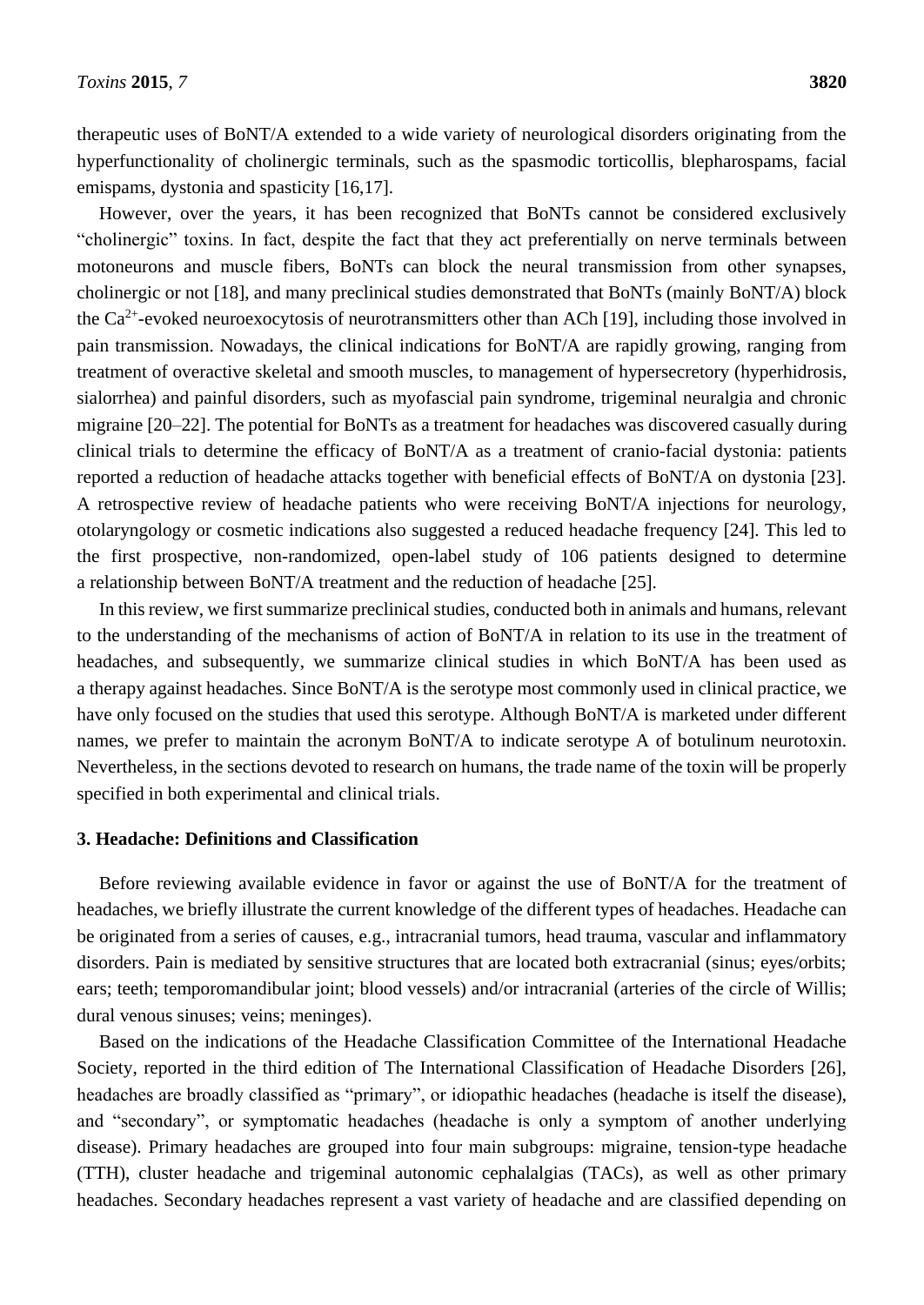therapeutic uses of BoNT/A extended to a wide variety of neurological disorders originating from the hyperfunctionality of cholinergic terminals, such as the spasmodic torticollis, blepharospams, facial emispams, dystonia and spasticity [16,17].

However, over the years, it has been recognized that BoNTs cannot be considered exclusively "cholinergic" toxins. In fact, despite the fact that they act preferentially on nerve terminals between motoneurons and muscle fibers, BoNTs can block the neural transmission from other synapses, cholinergic or not [18], and many preclinical studies demonstrated that BoNTs (mainly BoNT/A) block the  $Ca^{2+}$ -evoked neuroexocytosis of neurotransmitters other than ACh [19], including those involved in pain transmission. Nowadays, the clinical indications for BoNT/A are rapidly growing, ranging from treatment of overactive skeletal and smooth muscles, to management of hypersecretory (hyperhidrosis, sialorrhea) and painful disorders, such as myofascial pain syndrome, trigeminal neuralgia and chronic migraine [20–22]. The potential for BoNTs as a treatment for headaches was discovered casually during clinical trials to determine the efficacy of BoNT/A as a treatment of cranio-facial dystonia: patients reported a reduction of headache attacks together with beneficial effects of BoNT/A on dystonia [23]. A retrospective review of headache patients who were receiving BoNT/A injections for neurology, otolaryngology or cosmetic indications also suggested a reduced headache frequency [24]. This led to the first prospective, non-randomized, open-label study of 106 patients designed to determine a relationship between BoNT/A treatment and the reduction of headache [25].

In this review, we first summarize preclinical studies, conducted both in animals and humans, relevant to the understanding of the mechanisms of action of BoNT/A in relation to its use in the treatment of headaches, and subsequently, we summarize clinical studies in which BoNT/A has been used as a therapy against headaches. Since BoNT/A is the serotype most commonly used in clinical practice, we have only focused on the studies that used this serotype. Although BoNT/A is marketed under different names, we prefer to maintain the acronym BoNT/A to indicate serotype A of botulinum neurotoxin. Nevertheless, in the sections devoted to research on humans, the trade name of the toxin will be properly specified in both experimental and clinical trials.

#### **3. Headache: Definitions and Classification**

Before reviewing available evidence in favor or against the use of BoNT/A for the treatment of headaches, we briefly illustrate the current knowledge of the different types of headaches. Headache can be originated from a series of causes, e.g., intracranial tumors, head trauma, vascular and inflammatory disorders. Pain is mediated by sensitive structures that are located both extracranial (sinus; eyes/orbits; ears; teeth; temporomandibular joint; blood vessels) and/or intracranial (arteries of the circle of Willis; dural venous sinuses; veins; meninges).

Based on the indications of the Headache Classification Committee of the International Headache Society, reported in the third edition of The International Classification of Headache Disorders [26], headaches are broadly classified as "primary", or idiopathic headaches (headache is itself the disease), and "secondary", or symptomatic headaches (headache is only a symptom of another underlying disease). Primary headaches are grouped into four main subgroups: migraine, tension-type headache (TTH), cluster headache and trigeminal autonomic cephalalgias (TACs), as well as other primary headaches. Secondary headaches represent a vast variety of headache and are classified depending on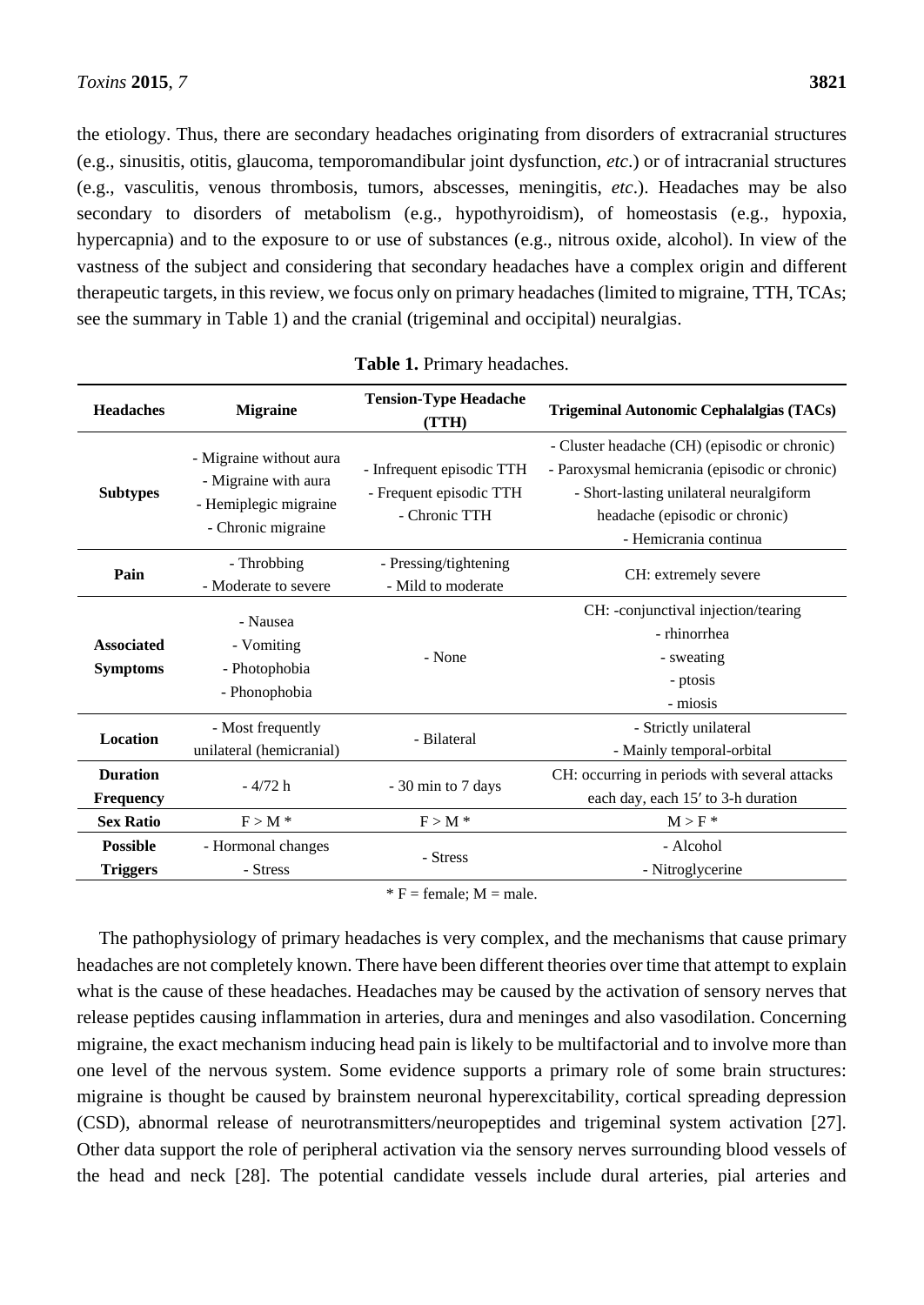the etiology. Thus, there are secondary headaches originating from disorders of extracranial structures (e.g., sinusitis, otitis, glaucoma, temporomandibular joint dysfunction, *etc*.) or of intracranial structures (e.g., vasculitis, venous thrombosis, tumors, abscesses, meningitis, *etc*.). Headaches may be also secondary to disorders of metabolism (e.g., hypothyroidism), of homeostasis (e.g., hypoxia, hypercapnia) and to the exposure to or use of substances (e.g., nitrous oxide, alcohol). In view of the vastness of the subject and considering that secondary headaches have a complex origin and different therapeutic targets, in this review, we focus only on primary headaches (limited to migraine, TTH, TCAs; see the summary in Table 1) and the cranial (trigeminal and occipital) neuralgias.

| <b>Headaches</b>                     | <b>Migraine</b>                                                                                | <b>Tension-Type Headache</b><br>(TTH)                                 | Trigeminal Autonomic Cephalalgias (TACs)                                                                                                                                                             |  |
|--------------------------------------|------------------------------------------------------------------------------------------------|-----------------------------------------------------------------------|------------------------------------------------------------------------------------------------------------------------------------------------------------------------------------------------------|--|
| <b>Subtypes</b>                      | - Migraine without aura<br>- Migraine with aura<br>- Hemiplegic migraine<br>- Chronic migraine | - Infrequent episodic TTH<br>- Frequent episodic TTH<br>- Chronic TTH | - Cluster headache (CH) (episodic or chronic)<br>- Paroxysmal hemicrania (episodic or chronic)<br>- Short-lasting unilateral neuralgiform<br>headache (episodic or chronic)<br>- Hemicrania continua |  |
| Pain                                 | - Throbbing<br>- Moderate to severe                                                            | - Pressing/tightening<br>- Mild to moderate                           | CH: extremely severe                                                                                                                                                                                 |  |
| <b>Associated</b><br><b>Symptoms</b> | - Nausea<br>- Vomiting<br>- Photophobia<br>- Phonophobia                                       | - None                                                                | CH: -conjunctival injection/tearing<br>- rhinorrhea<br>- sweating<br>- ptosis<br>- miosis                                                                                                            |  |
| <b>Location</b>                      | - Most frequently<br>unilateral (hemicranial)                                                  | - Bilateral                                                           | - Strictly unilateral<br>- Mainly temporal-orbital                                                                                                                                                   |  |
| <b>Duration</b><br><b>Frequency</b>  | $-4/72 h$                                                                                      | - 30 min to 7 days                                                    | CH: occurring in periods with several attacks<br>each day, each 15' to 3-h duration                                                                                                                  |  |
| <b>Sex Ratio</b>                     | $F > M$ *                                                                                      | $F > M$ *                                                             | $M > F^*$                                                                                                                                                                                            |  |
| <b>Possible</b><br><b>Triggers</b>   | - Hormonal changes<br>- Stress                                                                 | - Stress                                                              | - Alcohol<br>- Nitroglycerine                                                                                                                                                                        |  |

|  |  | Table 1. Primary headaches. |
|--|--|-----------------------------|
|--|--|-----------------------------|

 $* F = female$ : M = male.

The pathophysiology of primary headaches is very complex, and the mechanisms that cause primary headaches are not completely known. There have been different theories over time that attempt to explain what is the cause of these headaches. Headaches may be caused by the activation of sensory nerves that release peptides causing inflammation in arteries, dura and meninges and also vasodilation. Concerning migraine, the exact mechanism inducing head pain is likely to be multifactorial and to involve more than one level of the nervous system. Some evidence supports a primary role of some brain structures: migraine is thought be caused by brainstem neuronal hyperexcitability, cortical spreading depression (CSD), abnormal release of neurotransmitters/neuropeptides and trigeminal system activation [27]. Other data support the role of peripheral activation via the sensory nerves surrounding blood vessels of the head and neck [28]. The potential candidate vessels include dural arteries, pial arteries and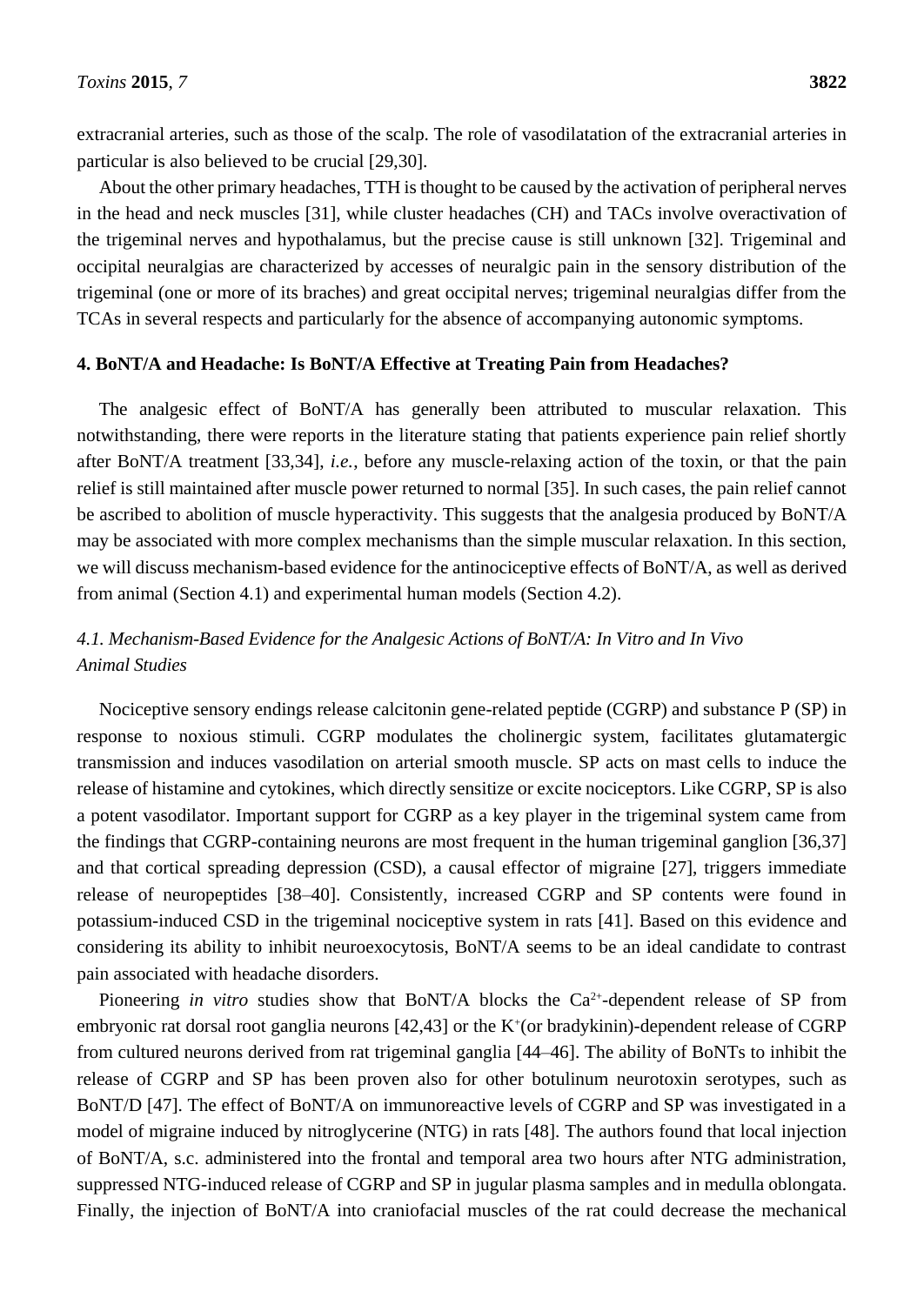extracranial arteries, such as those of the scalp. The role of vasodilatation of the extracranial arteries in particular is also believed to be crucial [29,30].

About the other primary headaches, TTH is thought to be caused by the activation of peripheral nerves in the head and neck muscles [31], while cluster headaches (CH) and TACs involve overactivation of the trigeminal nerves and hypothalamus, but the precise cause is still unknown [32]. Trigeminal and occipital neuralgias are characterized by accesses of neuralgic pain in the sensory distribution of the trigeminal (one or more of its braches) and great occipital nerves; trigeminal neuralgias differ from the TCAs in several respects and particularly for the absence of accompanying autonomic symptoms.

#### **4. BoNT/A and Headache: Is BoNT/A Effective at Treating Pain from Headaches?**

The analgesic effect of BoNT/A has generally been attributed to muscular relaxation. This notwithstanding, there were reports in the literature stating that patients experience pain relief shortly after BoNT/A treatment [33,34], *i.e.*, before any muscle-relaxing action of the toxin, or that the pain relief is still maintained after muscle power returned to normal [35]. In such cases, the pain relief cannot be ascribed to abolition of muscle hyperactivity. This suggests that the analgesia produced by BoNT/A may be associated with more complex mechanisms than the simple muscular relaxation. In this section, we will discuss mechanism-based evidence for the antinociceptive effects of BoNT/A, as well as derived from animal (Section 4.1) and experimental human models (Section 4.2).

# *4.1. Mechanism-Based Evidence for the Analgesic Actions of BoNT/A: In Vitro and In Vivo Animal Studies*

Nociceptive sensory endings release calcitonin gene-related peptide (CGRP) and substance P (SP) in response to noxious stimuli. CGRP modulates the cholinergic system, facilitates glutamatergic transmission and induces vasodilation on arterial smooth muscle. SP acts on mast cells to induce the release of histamine and cytokines, which directly sensitize or excite nociceptors. Like CGRP, SP is also a potent vasodilator. Important support for CGRP as a key player in the trigeminal system came from the findings that CGRP-containing neurons are most frequent in the human trigeminal ganglion [36,37] and that cortical spreading depression (CSD), a causal effector of migraine [27], triggers immediate release of neuropeptides [38–40]. Consistently, increased CGRP and SP contents were found in potassium-induced CSD in the trigeminal nociceptive system in rats [41]. Based on this evidence and considering its ability to inhibit neuroexocytosis, BoNT/A seems to be an ideal candidate to contrast pain associated with headache disorders.

Pioneering *in vitro* studies show that BoNT/A blocks the  $Ca^{2+}$ -dependent release of SP from embryonic rat dorsal root ganglia neurons  $[42, 43]$  or the K<sup>+</sup>(or bradykinin)-dependent release of CGRP from cultured neurons derived from rat trigeminal ganglia [44–46]. The ability of BoNTs to inhibit the release of CGRP and SP has been proven also for other botulinum neurotoxin serotypes, such as BoNT/D [47]. The effect of BoNT/A on immunoreactive levels of CGRP and SP was investigated in a model of migraine induced by nitroglycerine (NTG) in rats [48]. The authors found that local injection of BoNT/A, s.c. administered into the frontal and temporal area two hours after NTG administration, suppressed NTG-induced release of CGRP and SP in jugular plasma samples and in medulla oblongata. Finally, the injection of BoNT/A into craniofacial muscles of the rat could decrease the mechanical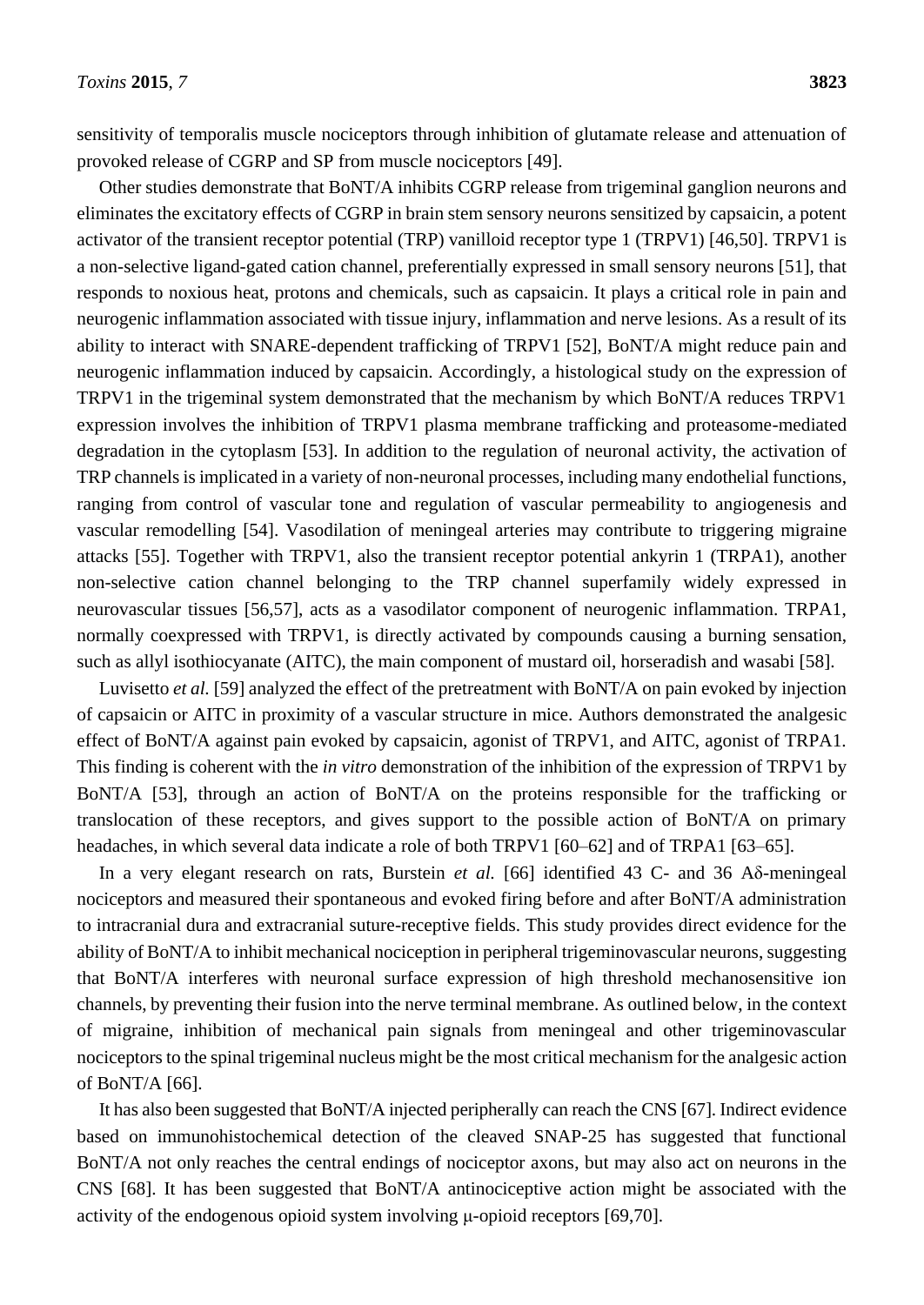sensitivity of temporalis muscle nociceptors through inhibition of glutamate release and attenuation of provoked release of CGRP and SP from muscle nociceptors [49].

Other studies demonstrate that BoNT/A inhibits CGRP release from trigeminal ganglion neurons and eliminates the excitatory effects of CGRP in brain stem sensory neurons sensitized by capsaicin, a potent activator of the transient receptor potential (TRP) vanilloid receptor type 1 (TRPV1) [46,50]. TRPV1 is a non-selective ligand-gated cation channel, preferentially expressed in small sensory neurons [51], that responds to noxious heat, protons and chemicals, such as capsaicin. It plays a critical role in pain and neurogenic inflammation associated with tissue injury, inflammation and nerve lesions. As a result of its ability to interact with SNARE-dependent trafficking of TRPV1 [52], BoNT/A might reduce pain and neurogenic inflammation induced by capsaicin. Accordingly, a histological study on the expression of TRPV1 in the trigeminal system demonstrated that the mechanism by which BoNT/A reduces TRPV1 expression involves the inhibition of TRPV1 plasma membrane trafficking and proteasome-mediated degradation in the cytoplasm [53]. In addition to the regulation of neuronal activity, the activation of TRP channels is implicated in a variety of non-neuronal processes, including many endothelial functions, ranging from control of vascular tone and regulation of vascular permeability to angiogenesis and vascular remodelling [54]. Vasodilation of meningeal arteries may contribute to triggering migraine attacks [55]. Together with TRPV1, also the transient receptor potential ankyrin 1 (TRPA1), another non-selective cation channel belonging to the TRP channel superfamily widely expressed in neurovascular tissues [56,57], acts as a vasodilator component of neurogenic inflammation. TRPA1, normally coexpressed with TRPV1, is directly activated by compounds causing a burning sensation, such as allyl isothiocyanate (AITC), the main component of mustard oil, horseradish and wasabi [58].

Luvisetto *et al.* [59] analyzed the effect of the pretreatment with BoNT/A on pain evoked by injection of capsaicin or AITC in proximity of a vascular structure in mice. Authors demonstrated the analgesic effect of BoNT/A against pain evoked by capsaicin, agonist of TRPV1, and AITC, agonist of TRPA1. This finding is coherent with the *in vitro* demonstration of the inhibition of the expression of TRPV1 by BoNT/A [53], through an action of BoNT/A on the proteins responsible for the trafficking or translocation of these receptors, and gives support to the possible action of BoNT/A on primary headaches, in which several data indicate a role of both TRPV1 [60–62] and of TRPA1 [63–65].

In a very elegant research on rats, Burstein *et al.* [66] identified 43 C- and 36 Aδ-meningeal nociceptors and measured their spontaneous and evoked firing before and after BoNT/A administration to intracranial dura and extracranial suture-receptive fields. This study provides direct evidence for the ability of BoNT/A to inhibit mechanical nociception in peripheral trigeminovascular neurons, suggesting that BoNT/A interferes with neuronal surface expression of high threshold mechanosensitive ion channels, by preventing their fusion into the nerve terminal membrane. As outlined below, in the context of migraine, inhibition of mechanical pain signals from meningeal and other trigeminovascular nociceptors to the spinal trigeminal nucleus might be the most critical mechanism for the analgesic action of BoNT/A [66].

It has also been suggested that BoNT/A injected peripherally can reach the CNS [67]. Indirect evidence based on immunohistochemical detection of the cleaved SNAP-25 has suggested that functional BoNT/A not only reaches the central endings of nociceptor axons, but may also act on neurons in the CNS [68]. It has been suggested that BoNT/A antinociceptive action might be associated with the activity of the endogenous opioid system involving μ-opioid receptors [69,70].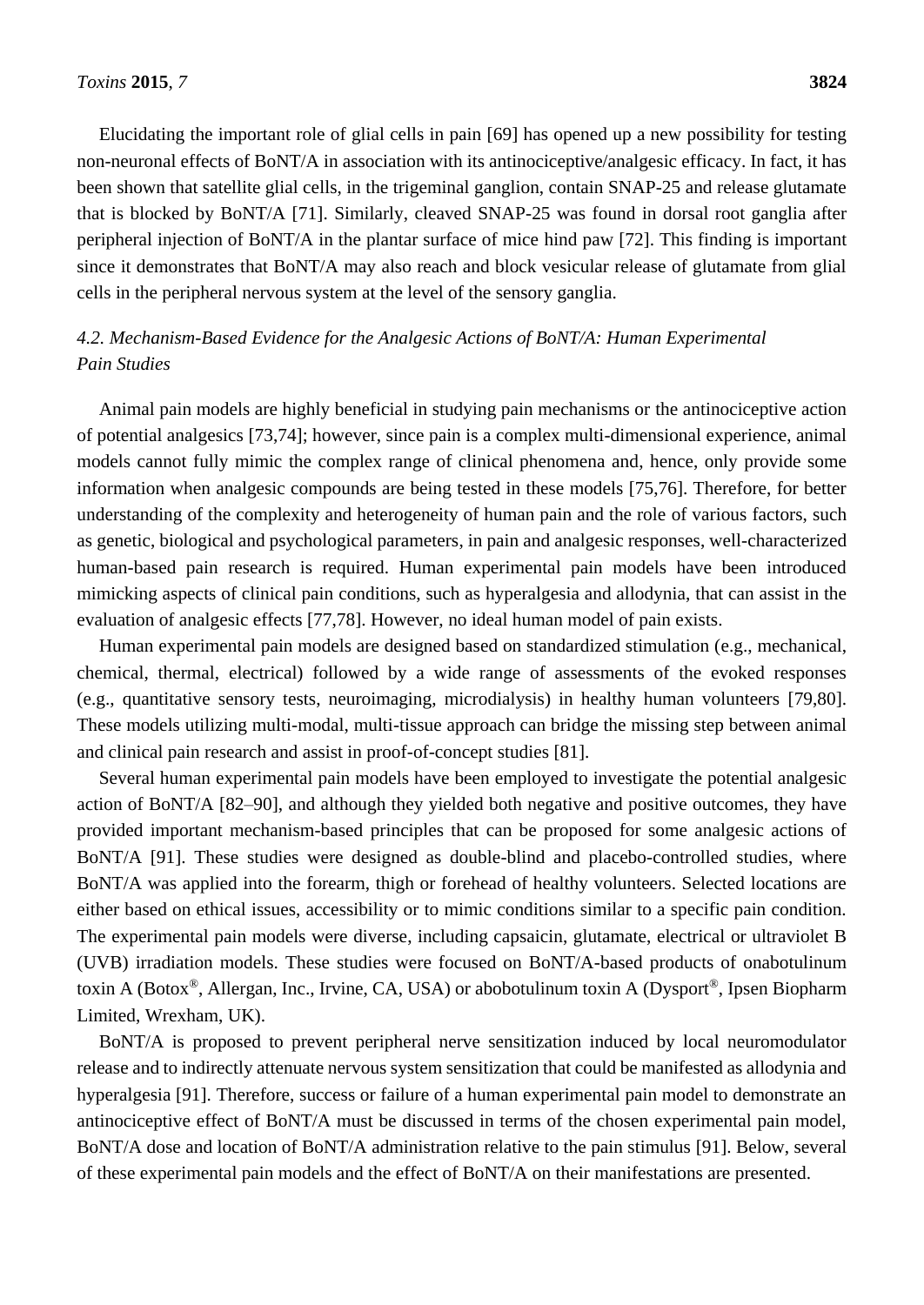Elucidating the important role of glial cells in pain [69] has opened up a new possibility for testing non-neuronal effects of BoNT/A in association with its antinociceptive/analgesic efficacy. In fact, it has been shown that satellite glial cells, in the trigeminal ganglion, contain SNAP-25 and release glutamate that is blocked by BoNT/A [71]. Similarly, cleaved SNAP-25 was found in dorsal root ganglia after peripheral injection of BoNT/A in the plantar surface of mice hind paw [72]. This finding is important since it demonstrates that BoNT/A may also reach and block vesicular release of glutamate from glial cells in the peripheral nervous system at the level of the sensory ganglia.

# *4.2. Mechanism-Based Evidence for the Analgesic Actions of BoNT/A: Human Experimental Pain Studies*

Animal pain models are highly beneficial in studying pain mechanisms or the antinociceptive action of potential analgesics [73,74]; however, since pain is a complex multi-dimensional experience, animal models cannot fully mimic the complex range of clinical phenomena and, hence, only provide some information when analgesic compounds are being tested in these models [75,76]. Therefore, for better understanding of the complexity and heterogeneity of human pain and the role of various factors, such as genetic, biological and psychological parameters, in pain and analgesic responses, well-characterized human-based pain research is required. Human experimental pain models have been introduced mimicking aspects of clinical pain conditions, such as hyperalgesia and allodynia, that can assist in the evaluation of analgesic effects [77,78]. However, no ideal human model of pain exists.

Human experimental pain models are designed based on standardized stimulation (e.g., mechanical, chemical, thermal, electrical) followed by a wide range of assessments of the evoked responses (e.g., quantitative sensory tests, neuroimaging, microdialysis) in healthy human volunteers [79,80]. These models utilizing multi-modal, multi-tissue approach can bridge the missing step between animal and clinical pain research and assist in proof-of-concept studies [81].

Several human experimental pain models have been employed to investigate the potential analgesic action of BoNT/A [82–90], and although they yielded both negative and positive outcomes, they have provided important mechanism-based principles that can be proposed for some analgesic actions of BoNT/A [91]. These studies were designed as double-blind and placebo-controlled studies, where BoNT/A was applied into the forearm, thigh or forehead of healthy volunteers. Selected locations are either based on ethical issues, accessibility or to mimic conditions similar to a specific pain condition. The experimental pain models were diverse, including capsaicin, glutamate, electrical or ultraviolet B (UVB) irradiation models. These studies were focused on BoNT/A-based products of onabotulinum toxin A (Botox®, Allergan, Inc., Irvine, CA, USA) or abobotulinum toxin A (Dysport®, Ipsen Biopharm Limited, Wrexham, UK).

BoNT/A is proposed to prevent peripheral nerve sensitization induced by local neuromodulator release and to indirectly attenuate nervous system sensitization that could be manifested as allodynia and hyperalgesia [91]. Therefore, success or failure of a human experimental pain model to demonstrate an antinociceptive effect of BoNT/A must be discussed in terms of the chosen experimental pain model, BoNT/A dose and location of BoNT/A administration relative to the pain stimulus [91]. Below, several of these experimental pain models and the effect of BoNT/A on their manifestations are presented.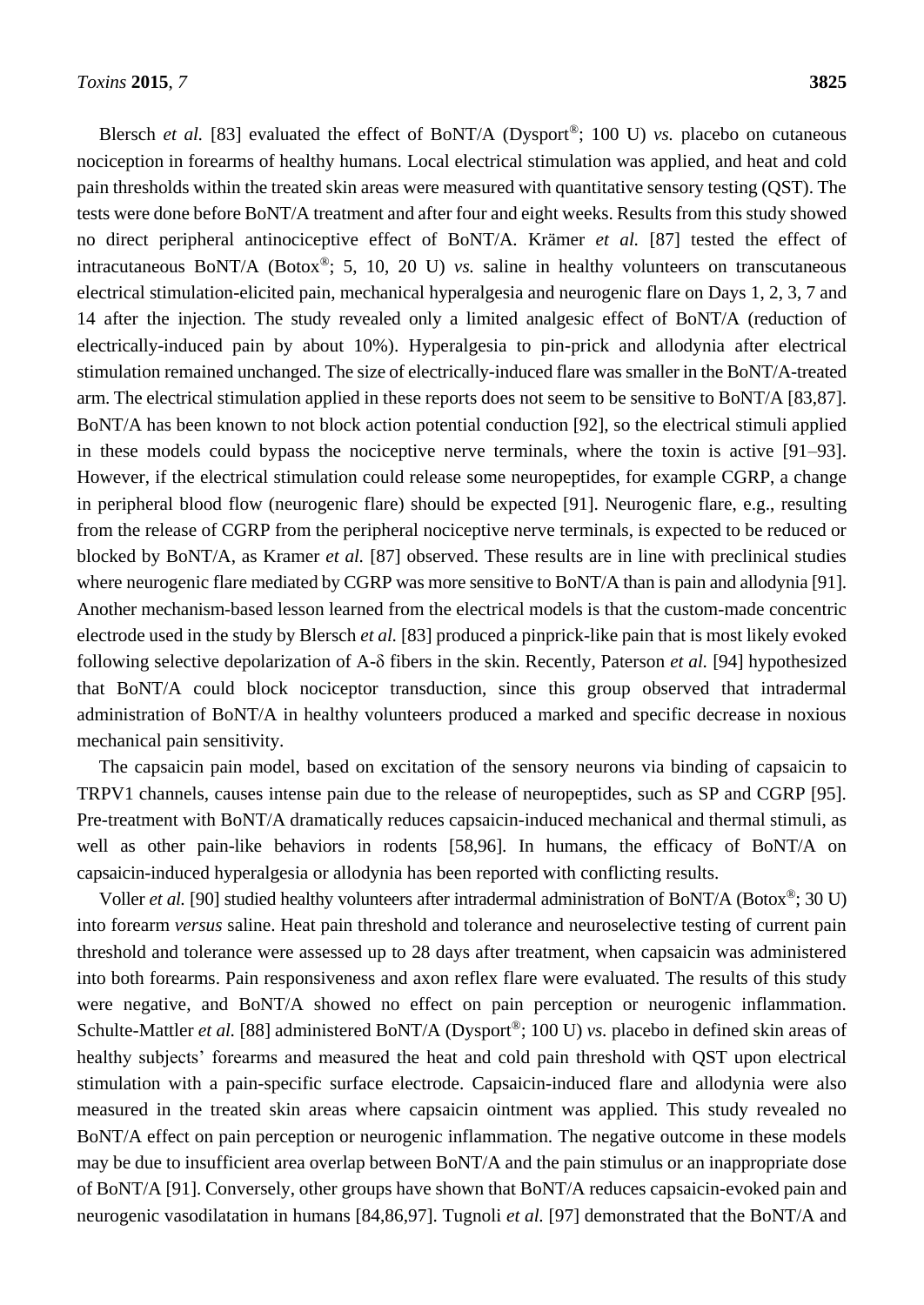Blersch *et al.* [83] evaluated the effect of BoNT/A (Dysport<sup>®</sup>; 100 U) *vs.* placebo on cutaneous nociception in forearms of healthy humans. Local electrical stimulation was applied, and heat and cold pain thresholds within the treated skin areas were measured with quantitative sensory testing (QST). The tests were done before BoNT/A treatment and after four and eight weeks. Results from this study showed no direct peripheral antinociceptive effect of BoNT/A. Krämer *et al.* [87] tested the effect of intracutaneous BoNT/A (Botox®; 5, 10, 20 U) *vs.* saline in healthy volunteers on transcutaneous electrical stimulation-elicited pain, mechanical hyperalgesia and neurogenic flare on Days 1, 2, 3, 7 and 14 after the injection. The study revealed only a limited analgesic effect of BoNT/A (reduction of electrically-induced pain by about 10%). Hyperalgesia to pin-prick and allodynia after electrical stimulation remained unchanged. The size of electrically-induced flare was smaller in the BoNT/A-treated arm. The electrical stimulation applied in these reports does not seem to be sensitive to BoNT/A [83,87]. BoNT/A has been known to not block action potential conduction [92], so the electrical stimuli applied in these models could bypass the nociceptive nerve terminals, where the toxin is active [91–93]. However, if the electrical stimulation could release some neuropeptides, for example CGRP, a change in peripheral blood flow (neurogenic flare) should be expected [91]. Neurogenic flare, e.g., resulting from the release of CGRP from the peripheral nociceptive nerve terminals, is expected to be reduced or blocked by BoNT/A, as Kramer *et al.* [87] observed. These results are in line with preclinical studies where neurogenic flare mediated by CGRP was more sensitive to BoNT/A than is pain and allodynia [91]. Another mechanism-based lesson learned from the electrical models is that the custom-made concentric electrode used in the study by Blersch *et al.* [83] produced a pinprick-like pain that is most likely evoked following selective depolarization of A-δ fibers in the skin. Recently, Paterson *et al.* [94] hypothesized that BoNT/A could block nociceptor transduction, since this group observed that intradermal administration of BoNT/A in healthy volunteers produced a marked and specific decrease in noxious mechanical pain sensitivity.

The capsaicin pain model, based on excitation of the sensory neurons via binding of capsaicin to TRPV1 channels, causes intense pain due to the release of neuropeptides, such as SP and CGRP [95]. Pre-treatment with BoNT/A dramatically reduces capsaicin-induced mechanical and thermal stimuli, as well as other pain-like behaviors in rodents [58,96]. In humans, the efficacy of BoNT/A on capsaicin-induced hyperalgesia or allodynia has been reported with conflicting results.

Voller *et al.* [90] studied healthy volunteers after intradermal administration of BoNT/A (Botox®; 30 U) into forearm *versus* saline. Heat pain threshold and tolerance and neuroselective testing of current pain threshold and tolerance were assessed up to 28 days after treatment, when capsaicin was administered into both forearms. Pain responsiveness and axon reflex flare were evaluated. The results of this study were negative, and BoNT/A showed no effect on pain perception or neurogenic inflammation. Schulte-Mattler *et al.* [88] administered BoNT/A (Dysport<sup>®</sup>; 100 U) *vs.* placebo in defined skin areas of healthy subjects' forearms and measured the heat and cold pain threshold with QST upon electrical stimulation with a pain-specific surface electrode. Capsaicin-induced flare and allodynia were also measured in the treated skin areas where capsaicin ointment was applied. This study revealed no BoNT/A effect on pain perception or neurogenic inflammation. The negative outcome in these models may be due to insufficient area overlap between BoNT/A and the pain stimulus or an inappropriate dose of BoNT/A [91]. Conversely, other groups have shown that BoNT/A reduces capsaicin-evoked pain and neurogenic vasodilatation in humans [84,86,97]. Tugnoli *et al.* [97] demonstrated that the BoNT/A and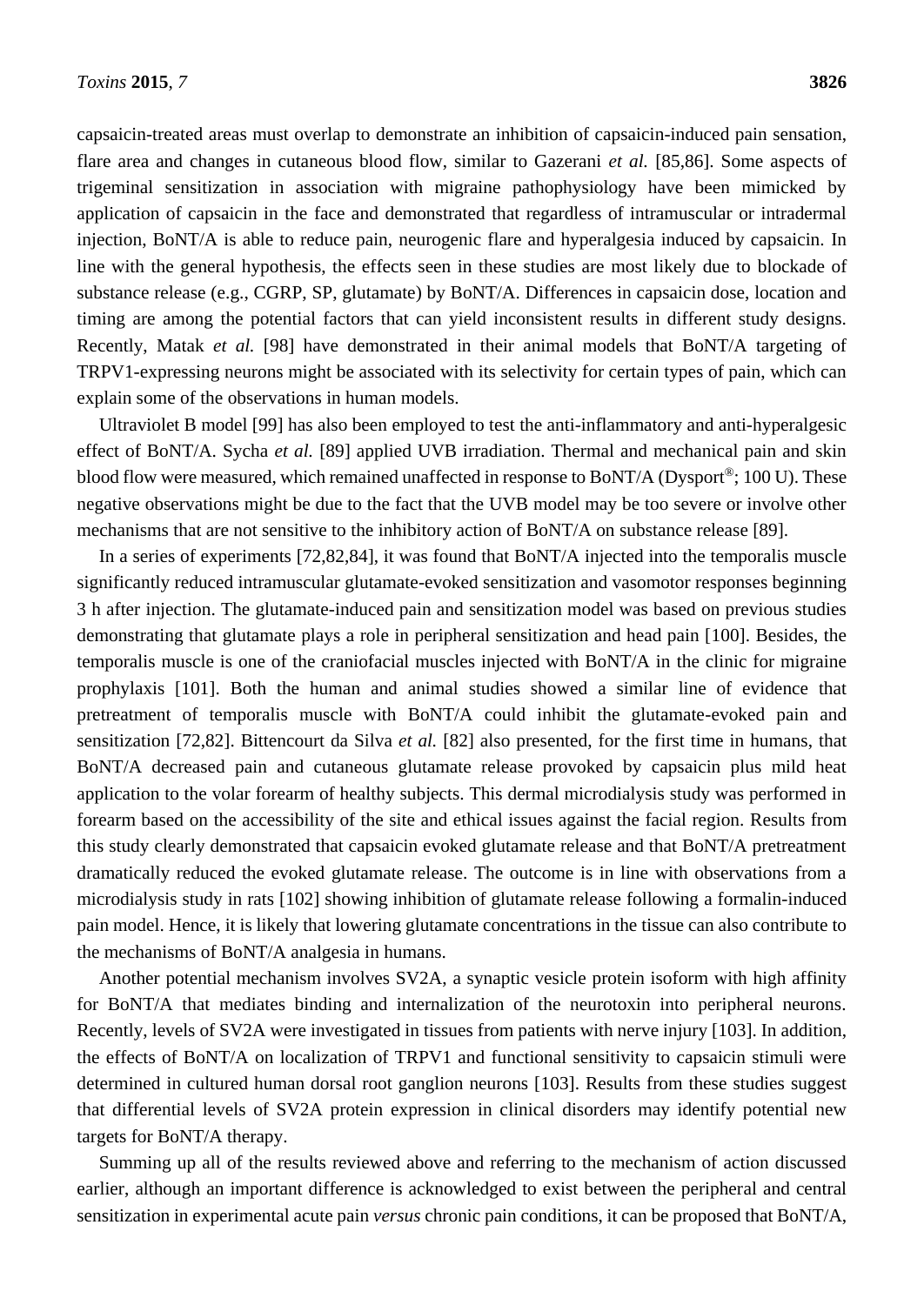capsaicin-treated areas must overlap to demonstrate an inhibition of capsaicin-induced pain sensation, flare area and changes in cutaneous blood flow, similar to Gazerani *et al.* [85,86]. Some aspects of trigeminal sensitization in association with migraine pathophysiology have been mimicked by application of capsaicin in the face and demonstrated that regardless of intramuscular or intradermal injection, BoNT/A is able to reduce pain, neurogenic flare and hyperalgesia induced by capsaicin. In line with the general hypothesis, the effects seen in these studies are most likely due to blockade of substance release (e.g., CGRP, SP, glutamate) by BoNT/A. Differences in capsaicin dose, location and timing are among the potential factors that can yield inconsistent results in different study designs. Recently, Matak *et al.* [98] have demonstrated in their animal models that BoNT/A targeting of TRPV1-expressing neurons might be associated with its selectivity for certain types of pain, which can explain some of the observations in human models.

Ultraviolet B model [99] has also been employed to test the anti-inflammatory and anti-hyperalgesic effect of BoNT/A. Sycha *et al.* [89] applied UVB irradiation. Thermal and mechanical pain and skin blood flow were measured, which remained unaffected in response to BoNT/A (Dysport®; 100 U). These negative observations might be due to the fact that the UVB model may be too severe or involve other mechanisms that are not sensitive to the inhibitory action of BoNT/A on substance release [89].

In a series of experiments [72,82,84], it was found that BoNT/A injected into the temporalis muscle significantly reduced intramuscular glutamate-evoked sensitization and vasomotor responses beginning 3 h after injection. The glutamate-induced pain and sensitization model was based on previous studies demonstrating that glutamate plays a role in peripheral sensitization and head pain [100]. Besides, the temporalis muscle is one of the craniofacial muscles injected with BoNT/A in the clinic for migraine prophylaxis [101]. Both the human and animal studies showed a similar line of evidence that pretreatment of temporalis muscle with BoNT/A could inhibit the glutamate-evoked pain and sensitization [72,82]. Bittencourt da Silva *et al.* [82] also presented, for the first time in humans, that BoNT/A decreased pain and cutaneous glutamate release provoked by capsaicin plus mild heat application to the volar forearm of healthy subjects. This dermal microdialysis study was performed in forearm based on the accessibility of the site and ethical issues against the facial region. Results from this study clearly demonstrated that capsaicin evoked glutamate release and that BoNT/A pretreatment dramatically reduced the evoked glutamate release. The outcome is in line with observations from a microdialysis study in rats [102] showing inhibition of glutamate release following a formalin-induced pain model. Hence, it is likely that lowering glutamate concentrations in the tissue can also contribute to the mechanisms of BoNT/A analgesia in humans.

Another potential mechanism involves SV2A, a synaptic vesicle protein isoform with high affinity for BoNT/A that mediates binding and internalization of the neurotoxin into peripheral neurons. Recently, levels of SV2A were investigated in tissues from patients with nerve injury [103]. In addition, the effects of BoNT/A on localization of TRPV1 and functional sensitivity to capsaicin stimuli were determined in cultured human dorsal root ganglion neurons [103]. Results from these studies suggest that differential levels of SV2A protein expression in clinical disorders may identify potential new targets for BoNT/A therapy.

Summing up all of the results reviewed above and referring to the mechanism of action discussed earlier, although an important difference is acknowledged to exist between the peripheral and central sensitization in experimental acute pain *versus* chronic pain conditions, it can be proposed that BoNT/A,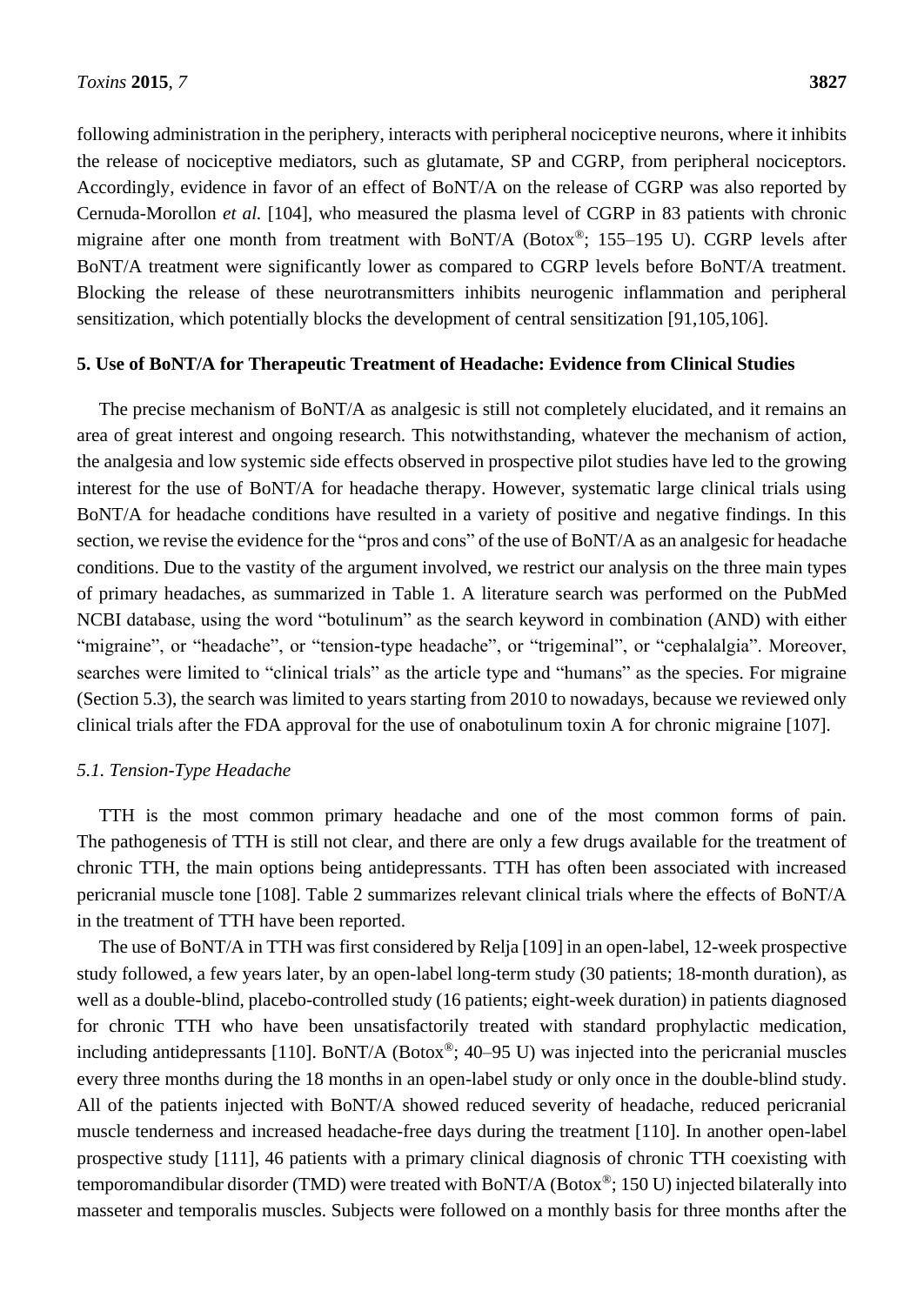following administration in the periphery, interacts with peripheral nociceptive neurons, where it inhibits the release of nociceptive mediators, such as glutamate, SP and CGRP, from peripheral nociceptors. Accordingly, evidence in favor of an effect of BoNT/A on the release of CGRP was also reported by Cernuda-Morollon *et al.* [104], who measured the plasma level of CGRP in 83 patients with chronic migraine after one month from treatment with BoNT/A (Botox®; 155–195 U). CGRP levels after BoNT/A treatment were significantly lower as compared to CGRP levels before BoNT/A treatment. Blocking the release of these neurotransmitters inhibits neurogenic inflammation and peripheral sensitization, which potentially blocks the development of central sensitization [91,105,106].

#### **5. Use of BoNT/A for Therapeutic Treatment of Headache: Evidence from Clinical Studies**

The precise mechanism of BoNT/A as analgesic is still not completely elucidated, and it remains an area of great interest and ongoing research. This notwithstanding, whatever the mechanism of action, the analgesia and low systemic side effects observed in prospective pilot studies have led to the growing interest for the use of BoNT/A for headache therapy. However, systematic large clinical trials using BoNT/A for headache conditions have resulted in a variety of positive and negative findings. In this section, we revise the evidence for the "pros and cons" of the use of BoNT/A as an analgesic for headache conditions. Due to the vastity of the argument involved, we restrict our analysis on the three main types of primary headaches, as summarized in Table 1. A literature search was performed on the PubMed NCBI database, using the word "botulinum" as the search keyword in combination (AND) with either "migraine", or "headache", or "tension-type headache", or "trigeminal", or "cephalalgia". Moreover, searches were limited to "clinical trials" as the article type and "humans" as the species. For migraine (Section 5.3), the search was limited to years starting from 2010 to nowadays, because we reviewed only clinical trials after the FDA approval for the use of onabotulinum toxin A for chronic migraine [107].

#### *5.1. Tension-Type Headache*

TTH is the most common primary headache and one of the most common forms of pain. The pathogenesis of TTH is still not clear, and there are only a few drugs available for the treatment of chronic TTH, the main options being antidepressants. TTH has often been associated with increased pericranial muscle tone [108]. Table 2 summarizes relevant clinical trials where the effects of BoNT/A in the treatment of TTH have been reported.

The use of BoNT/A in TTH was first considered by Relja [109] in an open-label, 12-week prospective study followed, a few years later, by an open-label long-term study (30 patients; 18-month duration), as well as a double-blind, placebo-controlled study (16 patients; eight-week duration) in patients diagnosed for chronic TTH who have been unsatisfactorily treated with standard prophylactic medication, including antidepressants [110]. BoNT/A (Botox®; 40–95 U) was injected into the pericranial muscles every three months during the 18 months in an open-label study or only once in the double-blind study. All of the patients injected with BoNT/A showed reduced severity of headache, reduced pericranial muscle tenderness and increased headache-free days during the treatment [110]. In another open-label prospective study [111], 46 patients with a primary clinical diagnosis of chronic TTH coexisting with temporomandibular disorder (TMD) were treated with BoNT/A (Botox®; 150 U) injected bilaterally into masseter and temporalis muscles. Subjects were followed on a monthly basis for three months after the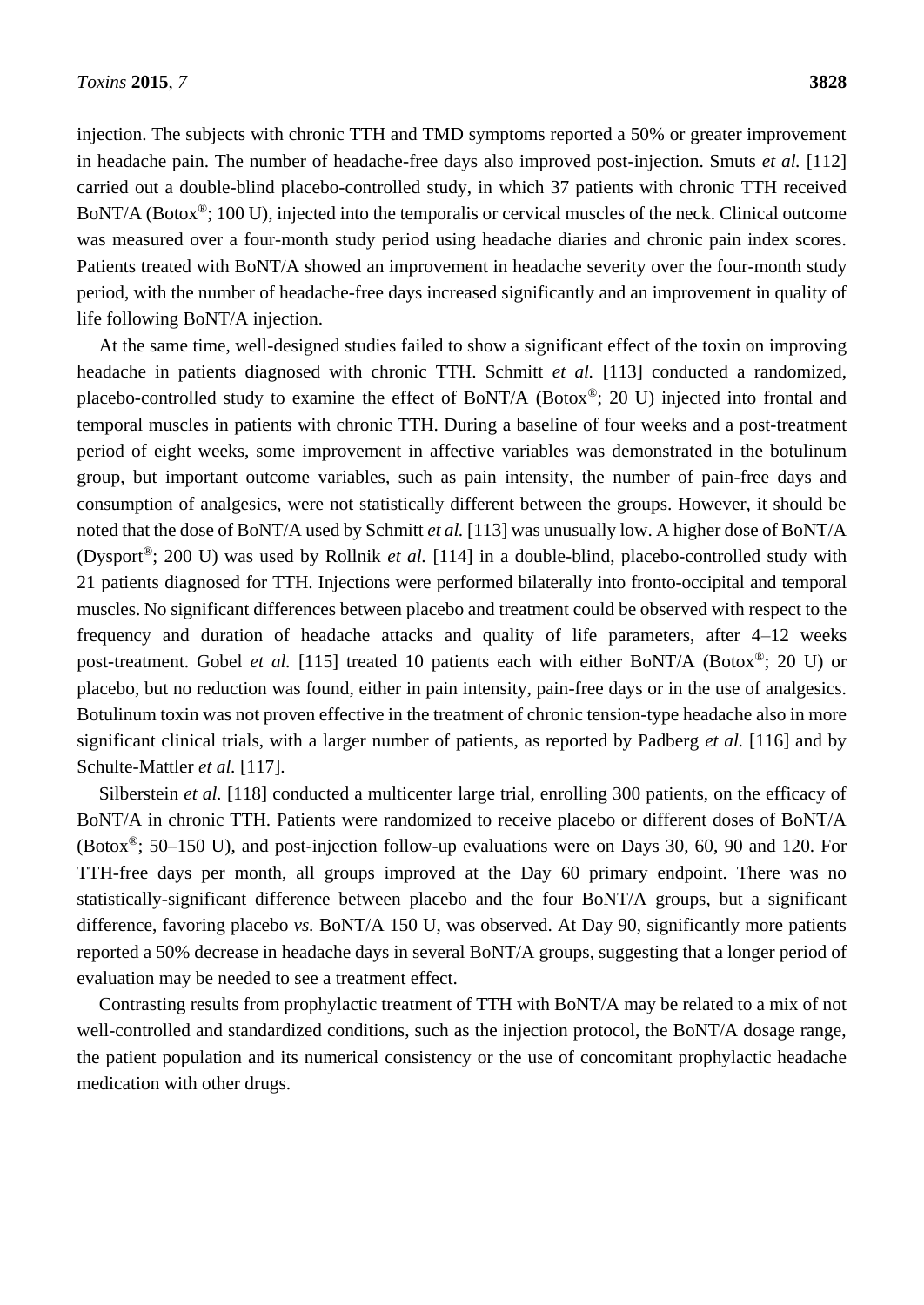injection. The subjects with chronic TTH and TMD symptoms reported a 50% or greater improvement in headache pain. The number of headache-free days also improved post-injection. Smuts *et al.* [112] carried out a double-blind placebo-controlled study, in which 37 patients with chronic TTH received BoNT/A (Botox®; 100 U), injected into the temporalis or cervical muscles of the neck. Clinical outcome was measured over a four-month study period using headache diaries and chronic pain index scores. Patients treated with BoNT/A showed an improvement in headache severity over the four-month study period, with the number of headache-free days increased significantly and an improvement in quality of life following BoNT/A injection.

At the same time, well-designed studies failed to show a significant effect of the toxin on improving headache in patients diagnosed with chronic TTH. Schmitt *et al.* [113] conducted a randomized, placebo-controlled study to examine the effect of BoNT/A (Botox®; 20 U) injected into frontal and temporal muscles in patients with chronic TTH. During a baseline of four weeks and a post-treatment period of eight weeks, some improvement in affective variables was demonstrated in the botulinum group, but important outcome variables, such as pain intensity, the number of pain-free days and consumption of analgesics, were not statistically different between the groups. However, it should be noted that the dose of BoNT/A used by Schmitt *et al.* [113] was unusually low. A higher dose of BoNT/A (Dysport®; 200 U) was used by Rollnik *et al.* [114] in a double-blind, placebo-controlled study with 21 patients diagnosed for TTH. Injections were performed bilaterally into fronto-occipital and temporal muscles. No significant differences between placebo and treatment could be observed with respect to the frequency and duration of headache attacks and quality of life parameters, after 4–12 weeks post-treatment. Gobel *et al.* [115] treated 10 patients each with either BoNT/A (Botox®; 20 U) or placebo, but no reduction was found, either in pain intensity, pain-free days or in the use of analgesics. Botulinum toxin was not proven effective in the treatment of chronic tension-type headache also in more significant clinical trials, with a larger number of patients, as reported by Padberg *et al.* [116] and by Schulte-Mattler *et al.* [117].

Silberstein *et al.* [118] conducted a multicenter large trial, enrolling 300 patients, on the efficacy of BoNT/A in chronic TTH. Patients were randomized to receive placebo or different doses of BoNT/A (Botox<sup>®</sup>; 50–150 U), and post-injection follow-up evaluations were on Days 30, 60, 90 and 120. For TTH-free days per month, all groups improved at the Day 60 primary endpoint. There was no statistically-significant difference between placebo and the four BoNT/A groups, but a significant difference, favoring placebo *vs.* BoNT/A 150 U, was observed. At Day 90, significantly more patients reported a 50% decrease in headache days in several BoNT/A groups, suggesting that a longer period of evaluation may be needed to see a treatment effect.

Contrasting results from prophylactic treatment of TTH with BoNT/A may be related to a mix of not well-controlled and standardized conditions, such as the injection protocol, the BoNT/A dosage range, the patient population and its numerical consistency or the use of concomitant prophylactic headache medication with other drugs.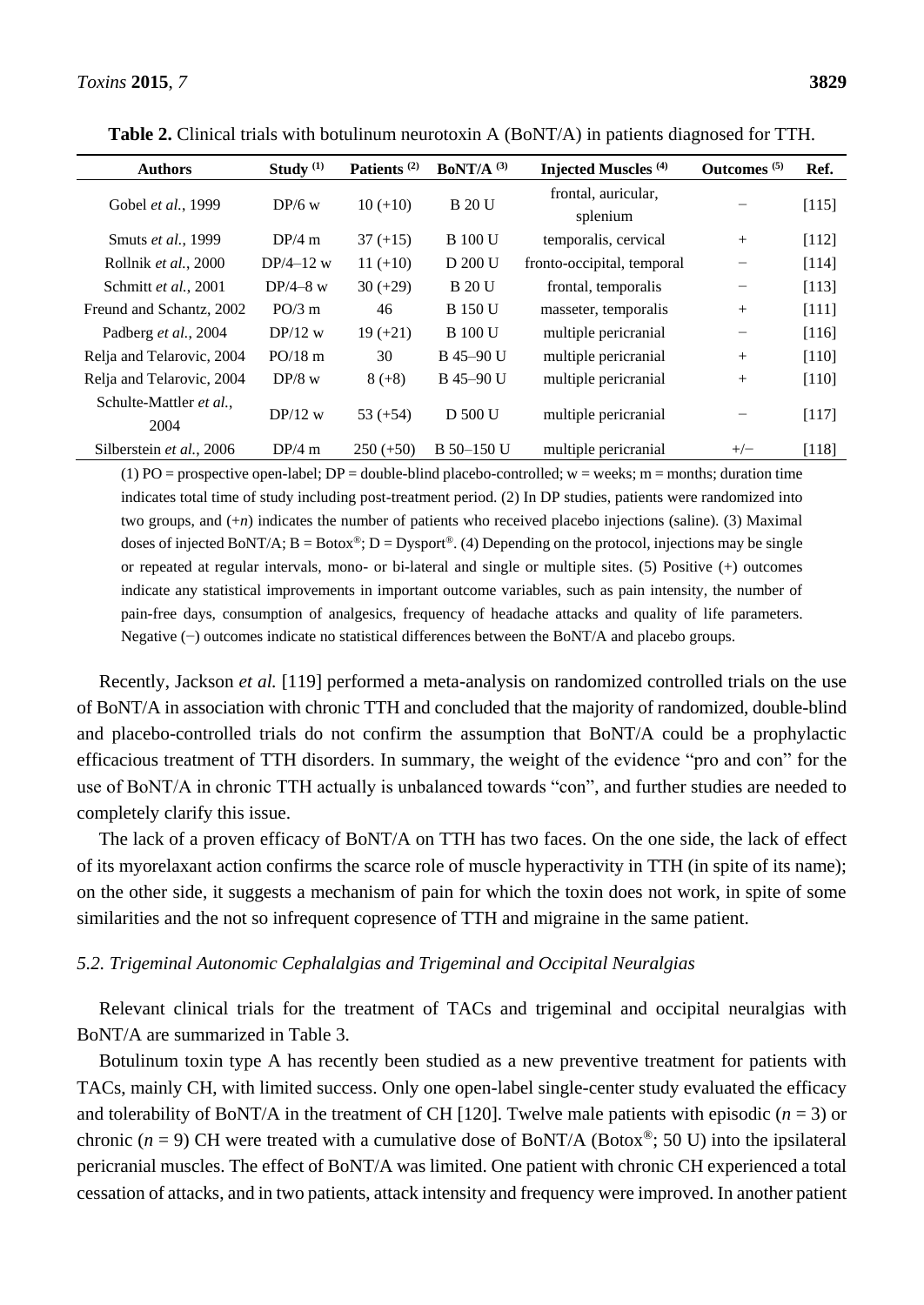| <b>Authors</b>                  | Study $(1)$ | Patients <sup>(2)</sup> | BoNT/A $(3)$   | Injected Muscles <sup>(4)</sup> | Outcomes <sup>(5)</sup> | Ref.    |
|---------------------------------|-------------|-------------------------|----------------|---------------------------------|-------------------------|---------|
| Gobel et al., 1999              | $DP/6$ w    | $10 (+10)$              | <b>B</b> 20 U  | frontal, auricular,<br>splenium |                         | [115]   |
| Smuts et al., 1999              | DP/4m       | $37 (+15)$              | <b>B</b> 100 U | temporalis, cervical            | $+$                     | [112]   |
| Rollnik et al., 2000            | $DP/4-12$ w | $11 (+10)$              | D 200 U        | fronto-occipital, temporal      |                         | [114]   |
| Schmitt et al., 2001            | $DP/4-8$ w  | $30 (+29)$              | <b>B</b> 20 U  | frontal, temporalis             |                         | [113]   |
| Freund and Schantz, 2002        | PO/3 m      | 46                      | <b>B</b> 150 U | masseter, temporalis            | $+$                     | [111]   |
| Padberg et al., 2004            | $DP/12$ w   | $19 (+21)$              | <b>B</b> 100 U | multiple pericranial            | -                       | [116]   |
| Relja and Telarovic, 2004       | $PO/18$ m   | 30                      | B 45-90 U      | multiple pericranial            | $+$                     | [110]   |
| Relia and Telarovic, 2004       | $DP/8$ w    | $8 (+8)$                | B 45-90 U      | multiple pericranial            | $^{+}$                  | $[110]$ |
| Schulte-Mattler et al.,<br>2004 | $DP/12$ w   | $53 (+54)$              | D 500 U        | multiple pericranial            |                         | [117]   |
| Silberstein et al., 2006        | DP/4m       | $250 (+50)$             | B 50-150 U     | multiple pericranial            | $+/-$                   | [118]   |

**Table 2.** Clinical trials with botulinum neurotoxin A (BoNT/A) in patients diagnosed for TTH.

(1) PO = prospective open-label; DP = double-blind placebo-controlled;  $w =$  weeks; m = months; duration time indicates total time of study including post-treatment period. (2) In DP studies, patients were randomized into two groups, and (+*n*) indicates the number of patients who received placebo injections (saline). (3) Maximal doses of injected BoNT/A;  $B = Botox^{\circledast}$ ;  $D = Dysport^{\circledast}$ . (4) Depending on the protocol, injections may be single or repeated at regular intervals, mono- or bi-lateral and single or multiple sites. (5) Positive (+) outcomes indicate any statistical improvements in important outcome variables, such as pain intensity, the number of pain-free days, consumption of analgesics, frequency of headache attacks and quality of life parameters. Negative (−) outcomes indicate no statistical differences between the BoNT/A and placebo groups.

Recently, Jackson *et al.* [119] performed a meta-analysis on randomized controlled trials on the use of BoNT/A in association with chronic TTH and concluded that the majority of randomized, double-blind and placebo-controlled trials do not confirm the assumption that BoNT/A could be a prophylactic efficacious treatment of TTH disorders. In summary, the weight of the evidence "pro and con" for the use of BoNT/A in chronic TTH actually is unbalanced towards "con", and further studies are needed to completely clarify this issue.

The lack of a proven efficacy of BoNT/A on TTH has two faces. On the one side, the lack of effect of its myorelaxant action confirms the scarce role of muscle hyperactivity in TTH (in spite of its name); on the other side, it suggests a mechanism of pain for which the toxin does not work, in spite of some similarities and the not so infrequent copresence of TTH and migraine in the same patient.

#### *5.2. Trigeminal Autonomic Cephalalgias and Trigeminal and Occipital Neuralgias*

Relevant clinical trials for the treatment of TACs and trigeminal and occipital neuralgias with BoNT/A are summarized in Table 3.

Botulinum toxin type A has recently been studied as a new preventive treatment for patients with TACs, mainly CH, with limited success. Only one open-label single-center study evaluated the efficacy and tolerability of BoNT/A in the treatment of CH [120]. Twelve male patients with episodic  $(n = 3)$  or chronic ( $n = 9$ ) CH were treated with a cumulative dose of BoNT/A (Botox<sup>®</sup>; 50 U) into the ipsilateral pericranial muscles. The effect of BoNT/A was limited. One patient with chronic CH experienced a total cessation of attacks, and in two patients, attack intensity and frequency were improved. In another patient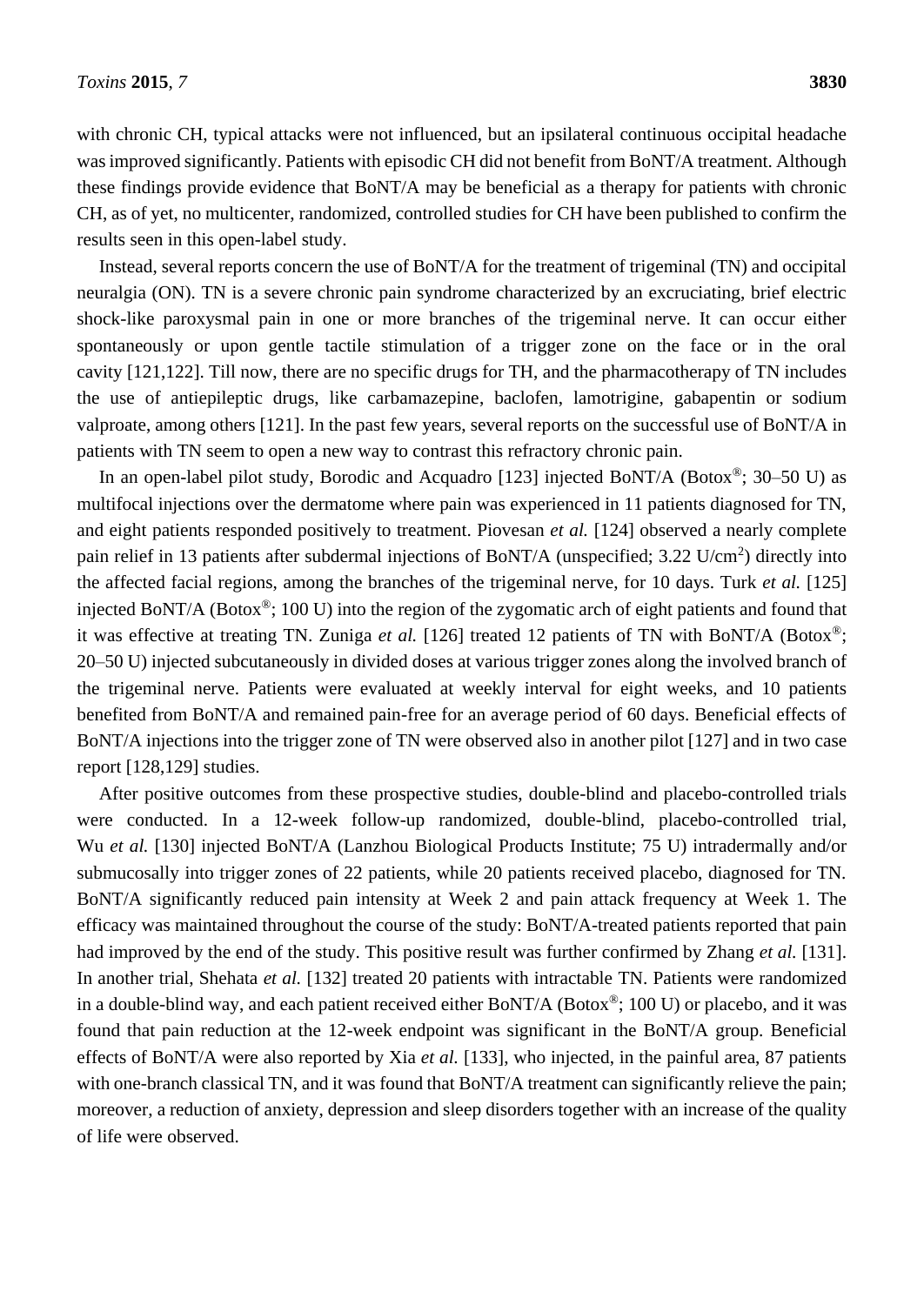with chronic CH, typical attacks were not influenced, but an ipsilateral continuous occipital headache was improved significantly. Patients with episodic CH did not benefit from BoNT/A treatment. Although these findings provide evidence that BoNT/A may be beneficial as a therapy for patients with chronic CH, as of yet, no multicenter, randomized, controlled studies for CH have been published to confirm the results seen in this open-label study.

Instead, several reports concern the use of BoNT/A for the treatment of trigeminal (TN) and occipital neuralgia (ON). TN is a severe chronic pain syndrome characterized by an excruciating, brief electric shock-like paroxysmal pain in one or more branches of the trigeminal nerve. It can occur either spontaneously or upon gentle tactile stimulation of a trigger zone on the face or in the oral cavity [121,122]. Till now, there are no specific drugs for TH, and the pharmacotherapy of TN includes the use of antiepileptic drugs, like carbamazepine, baclofen, lamotrigine, gabapentin or sodium valproate, among others [121]. In the past few years, several reports on the successful use of BoNT/A in patients with TN seem to open a new way to contrast this refractory chronic pain.

In an open-label pilot study, Borodic and Acquadro [123] injected BoNT/A (Botox<sup>®</sup>; 30–50 U) as multifocal injections over the dermatome where pain was experienced in 11 patients diagnosed for TN, and eight patients responded positively to treatment. Piovesan *et al.* [124] observed a nearly complete pain relief in 13 patients after subdermal injections of BoNT/A (unspecified; 3.22 U/cm<sup>2</sup>) directly into the affected facial regions, among the branches of the trigeminal nerve, for 10 days. Turk *et al.* [125] injected BoNT/A (Botox®; 100 U) into the region of the zygomatic arch of eight patients and found that it was effective at treating TN. Zuniga *et al.* [126] treated 12 patients of TN with BoNT/A (Botox®; 20–50 U) injected subcutaneously in divided doses at various trigger zones along the involved branch of the trigeminal nerve. Patients were evaluated at weekly interval for eight weeks, and 10 patients benefited from BoNT/A and remained pain-free for an average period of 60 days. Beneficial effects of BoNT/A injections into the trigger zone of TN were observed also in another pilot [127] and in two case report [128,129] studies.

After positive outcomes from these prospective studies, double-blind and placebo-controlled trials were conducted. In a 12-week follow-up randomized, double-blind, placebo-controlled trial, Wu *et al.* [130] injected BoNT/A (Lanzhou Biological Products Institute; 75 U) intradermally and/or submucosally into trigger zones of 22 patients, while 20 patients received placebo, diagnosed for TN. BoNT/A significantly reduced pain intensity at Week 2 and pain attack frequency at Week 1. The efficacy was maintained throughout the course of the study: BoNT/A-treated patients reported that pain had improved by the end of the study. This positive result was further confirmed by Zhang *et al.* [131]. In another trial, Shehata *et al.* [132] treated 20 patients with intractable TN. Patients were randomized in a double-blind way, and each patient received either BoNT/A (Botox®; 100 U) or placebo, and it was found that pain reduction at the 12-week endpoint was significant in the BoNT/A group. Beneficial effects of BoNT/A were also reported by Xia *et al.* [133], who injected, in the painful area, 87 patients with one-branch classical TN, and it was found that BoNT/A treatment can significantly relieve the pain; moreover, a reduction of anxiety, depression and sleep disorders together with an increase of the quality of life were observed.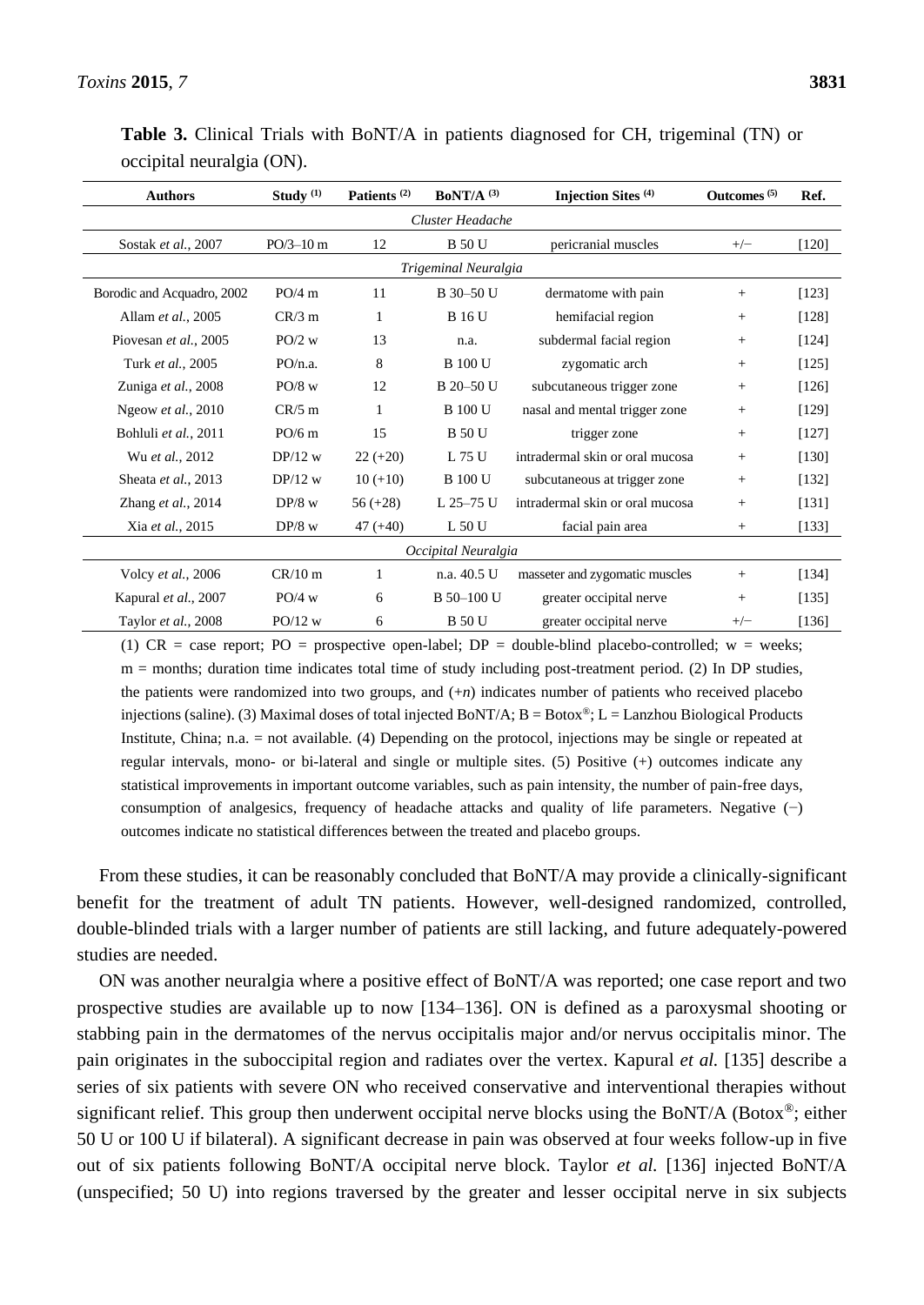|                           |  |  |  |  | <b>Table 3.</b> Clinical Trials with BoNT/A in patients diagnosed for CH, trigeminal (TN) or |  |
|---------------------------|--|--|--|--|----------------------------------------------------------------------------------------------|--|
| occipital neuralgia (ON). |  |  |  |  |                                                                                              |  |

| <b>Authors</b>             | Study $(1)$                                               | Patients <sup>(2)</sup> | BoNT/A $(3)$   | Injection Sites <sup>(4)</sup>  | Outcomes $(5)$ | Ref.    |  |  |  |  |
|----------------------------|-----------------------------------------------------------|-------------------------|----------------|---------------------------------|----------------|---------|--|--|--|--|
| Cluster Headache           |                                                           |                         |                |                                 |                |         |  |  |  |  |
| Sostak et al., 2007        | 12<br>$PO/3-10 m$<br><b>B</b> 50 U<br>pericranial muscles |                         | $+/-$          | $[120]$                         |                |         |  |  |  |  |
| Trigeminal Neuralgia       |                                                           |                         |                |                                 |                |         |  |  |  |  |
| Borodic and Acquadro, 2002 | PO/4 m                                                    | 11                      | B 30-50 U      | dermatome with pain             | $^{+}$         | [123]   |  |  |  |  |
| Allam et al., 2005         | $CR/3$ m                                                  | 1                       | <b>B</b> 16 U  | hemifacial region               | $^{+}$         | [128]   |  |  |  |  |
| Piovesan et al., 2005      | $PO/2$ w                                                  | 13                      | n.a.           | subdermal facial region         | $^{+}$         | [124]   |  |  |  |  |
| Turk et al., 2005          | PO/n.a.                                                   | 8                       | <b>B</b> 100 U | zygomatic arch                  | $^{+}$         | [125]   |  |  |  |  |
| Zuniga et al., 2008        | $PO/8$ w                                                  | 12                      | B 20-50 U      | subcutaneous trigger zone       | $^{+}$         | $[126]$ |  |  |  |  |
| Ngeow et al., 2010         | $CR/5$ m                                                  | $\mathbf{1}$            | <b>B</b> 100 U | nasal and mental trigger zone   | $^{+}$         | [129]   |  |  |  |  |
| Bohluli et al., 2011       | $PO/6$ m                                                  | 15                      | <b>B</b> 50 U  | trigger zone                    | $^{+}$         | [127]   |  |  |  |  |
| Wu et al., 2012            | $DP/12$ w                                                 | $22 (+20)$              | L 75 U         | intradermal skin or oral mucosa | $^{+}$         | [130]   |  |  |  |  |
| Sheata et al., 2013        | $DP/12$ w                                                 | $10 (+10)$              | <b>B</b> 100 U | subcutaneous at trigger zone    | $^{+}$         | [132]   |  |  |  |  |
| Zhang et al., 2014         | $DP/8$ w                                                  | $56 (+28)$              | L 25-75 U      | intradermal skin or oral mucosa | $^{+}$         | $[131]$ |  |  |  |  |
| Xia et al., 2015           | $DP/8$ w                                                  | $47 (+40)$              | L 50 U         | facial pain area                | $^{+}$         | $[133]$ |  |  |  |  |
| Occipital Neuralgia        |                                                           |                         |                |                                 |                |         |  |  |  |  |
| Volcy et al., 2006         | $CR/10$ m                                                 | 1                       | n.a. 40.5 U    | masseter and zygomatic muscles  | $^{+}$         | [134]   |  |  |  |  |
| Kapural et al., 2007       | $PO/4$ w                                                  | 6                       | B 50-100 U     | greater occipital nerve         | $^{+}$         | [135]   |  |  |  |  |
| Taylor et al., 2008        | $PO/12$ w                                                 | 6                       | <b>B</b> 50 U  | greater occipital nerve         | $+/-$          | [136]   |  |  |  |  |

(1)  $CR = case$  report;  $PO = prospective$  open-label;  $DP = double$ -blind placebo-controlled; w = weeks;  $m =$  months; duration time indicates total time of study including post-treatment period. (2) In DP studies, the patients were randomized into two groups, and (+*n*) indicates number of patients who received placebo injections (saline). (3) Maximal doses of total injected BoNT/A; B = Botox®; L = Lanzhou Biological Products Institute, China; n.a. = not available. (4) Depending on the protocol, injections may be single or repeated at regular intervals, mono- or bi-lateral and single or multiple sites. (5) Positive (+) outcomes indicate any statistical improvements in important outcome variables, such as pain intensity, the number of pain-free days, consumption of analgesics, frequency of headache attacks and quality of life parameters. Negative (−) outcomes indicate no statistical differences between the treated and placebo groups.

From these studies, it can be reasonably concluded that BoNT/A may provide a clinically-significant benefit for the treatment of adult TN patients. However, well-designed randomized, controlled, double-blinded trials with a larger number of patients are still lacking, and future adequately-powered studies are needed.

ON was another neuralgia where a positive effect of BoNT/A was reported; one case report and two prospective studies are available up to now [134–136]. ON is defined as a paroxysmal shooting or stabbing pain in the dermatomes of the nervus occipitalis major and/or nervus occipitalis minor. The pain originates in the suboccipital region and radiates over the vertex. Kapural *et al.* [135] describe a series of six patients with severe ON who received conservative and interventional therapies without significant relief. This group then underwent occipital nerve blocks using the BoNT/A (Botox®; either 50 U or 100 U if bilateral). A significant decrease in pain was observed at four weeks follow-up in five out of six patients following BoNT/A occipital nerve block. Taylor *et al.* [136] injected BoNT/A (unspecified; 50 U) into regions traversed by the greater and lesser occipital nerve in six subjects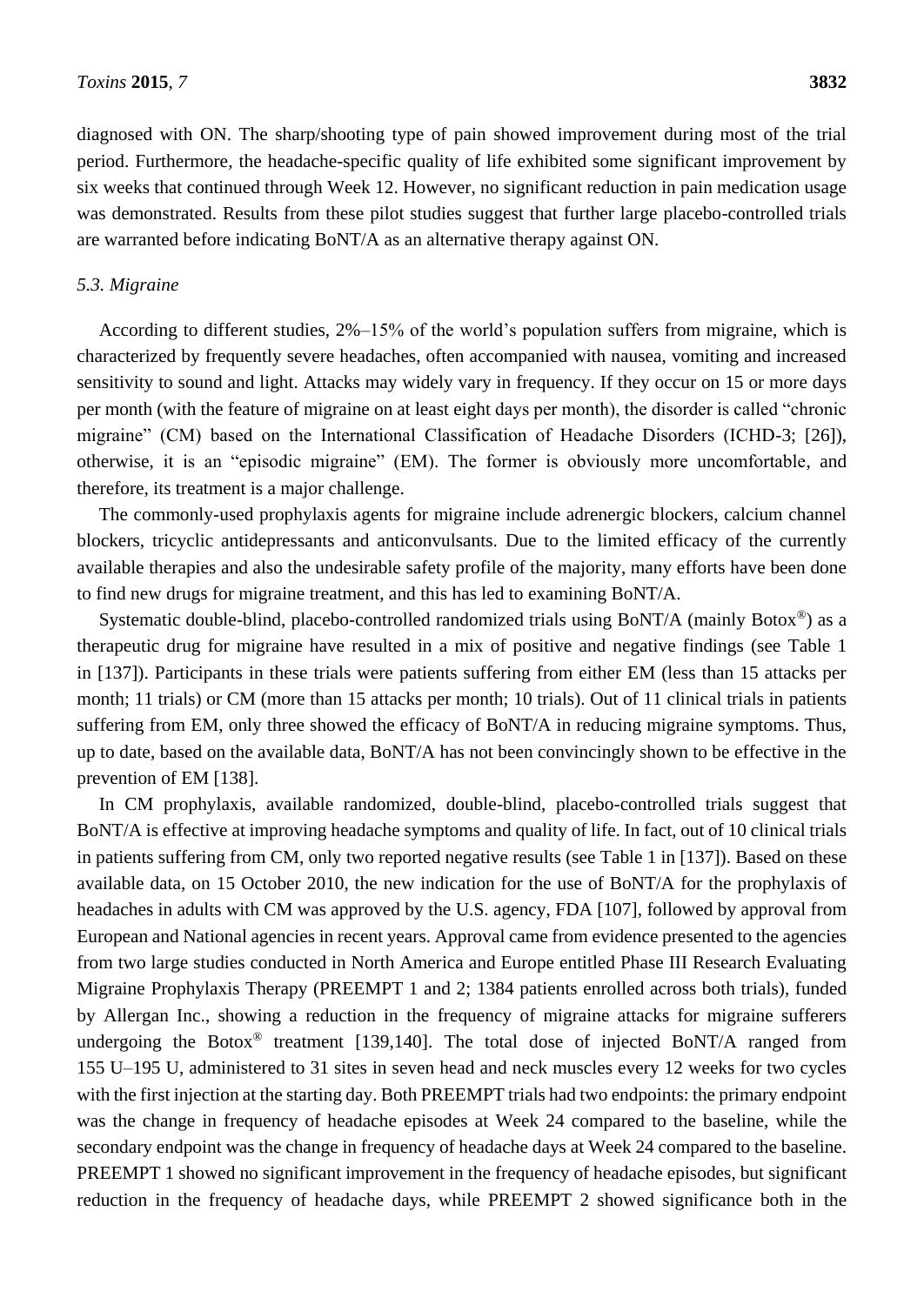diagnosed with ON. The sharp/shooting type of pain showed improvement during most of the trial period. Furthermore, the headache-specific quality of life exhibited some significant improvement by six weeks that continued through Week 12. However, no significant reduction in pain medication usage was demonstrated. Results from these pilot studies suggest that further large placebo-controlled trials are warranted before indicating BoNT/A as an alternative therapy against ON.

#### *5.3. Migraine*

According to different studies, 2%–15% of the world's population suffers from migraine, which is characterized by frequently severe headaches, often accompanied with nausea, vomiting and increased sensitivity to sound and light. Attacks may widely vary in frequency. If they occur on 15 or more days per month (with the feature of migraine on at least eight days per month), the disorder is called "chronic migraine" (CM) based on the International Classification of Headache Disorders (ICHD-3; [26]), otherwise, it is an "episodic migraine" (EM). The former is obviously more uncomfortable, and therefore, its treatment is a major challenge.

The commonly-used prophylaxis agents for migraine include adrenergic blockers, calcium channel blockers, tricyclic antidepressants and anticonvulsants. Due to the limited efficacy of the currently available therapies and also the undesirable safety profile of the majority, many efforts have been done to find new drugs for migraine treatment, and this has led to examining BoNT/A.

Systematic double-blind, placebo-controlled randomized trials using BoNT/A (mainly Botox®) as a therapeutic drug for migraine have resulted in a mix of positive and negative findings (see Table 1 in [137]). Participants in these trials were patients suffering from either EM (less than 15 attacks per month; 11 trials) or CM (more than 15 attacks per month; 10 trials). Out of 11 clinical trials in patients suffering from EM, only three showed the efficacy of BoNT/A in reducing migraine symptoms. Thus, up to date, based on the available data, BoNT/A has not been convincingly shown to be effective in the prevention of EM [138].

In CM prophylaxis, available randomized, double-blind, placebo-controlled trials suggest that BoNT/A is effective at improving headache symptoms and quality of life. In fact, out of 10 clinical trials in patients suffering from CM, only two reported negative results (see Table 1 in [137]). Based on these available data, on 15 October 2010, the new indication for the use of BoNT/A for the prophylaxis of headaches in adults with CM was approved by the U.S. agency, FDA [107], followed by approval from European and National agencies in recent years. Approval came from evidence presented to the agencies from two large studies conducted in North America and Europe entitled Phase III Research Evaluating Migraine Prophylaxis Therapy (PREEMPT 1 and 2; 1384 patients enrolled across both trials), funded by Allergan Inc., showing a reduction in the frequency of migraine attacks for migraine sufferers undergoing the Botox<sup>®</sup> treatment [139,140]. The total dose of injected BoNT/A ranged from 155 U–195 U, administered to 31 sites in seven head and neck muscles every 12 weeks for two cycles with the first injection at the starting day. Both PREEMPT trials had two endpoints: the primary endpoint was the change in frequency of headache episodes at Week 24 compared to the baseline, while the secondary endpoint was the change in frequency of headache days at Week 24 compared to the baseline. PREEMPT 1 showed no significant improvement in the frequency of headache episodes, but significant reduction in the frequency of headache days, while PREEMPT 2 showed significance both in the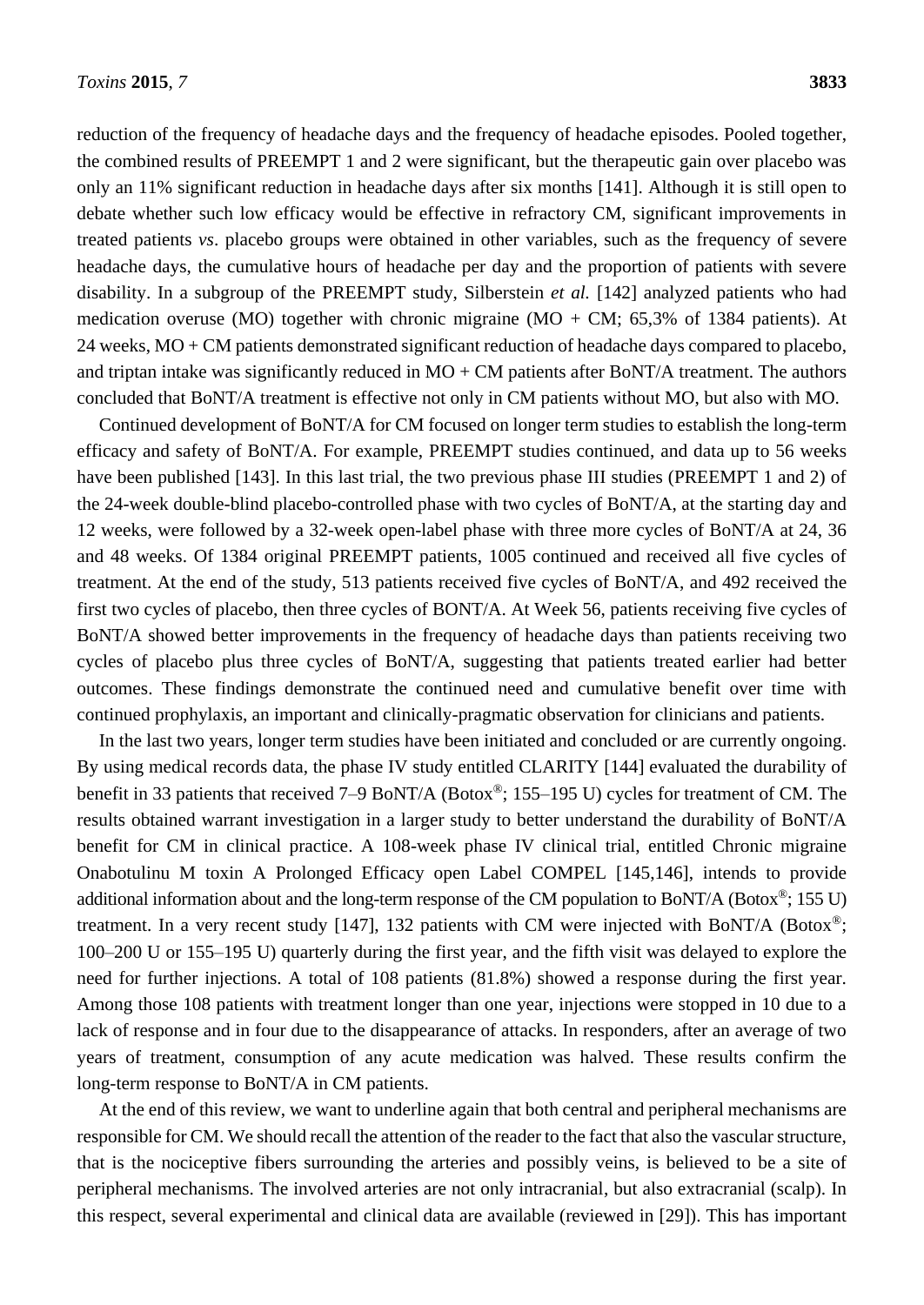reduction of the frequency of headache days and the frequency of headache episodes. Pooled together, the combined results of PREEMPT 1 and 2 were significant, but the therapeutic gain over placebo was only an 11% significant reduction in headache days after six months [141]. Although it is still open to debate whether such low efficacy would be effective in refractory CM, significant improvements in treated patients *vs*. placebo groups were obtained in other variables, such as the frequency of severe headache days, the cumulative hours of headache per day and the proportion of patients with severe disability. In a subgroup of the PREEMPT study, Silberstein *et al.* [142] analyzed patients who had medication overuse (MO) together with chronic migraine (MO + CM;  $65.3\%$  of 1384 patients). At 24 weeks, MO + CM patients demonstrated significant reduction of headache days compared to placebo, and triptan intake was significantly reduced in  $MO + CM$  patients after BoNT/A treatment. The authors concluded that BoNT/A treatment is effective not only in CM patients without MO, but also with MO.

Continued development of BoNT/A for CM focused on longer term studies to establish the long-term efficacy and safety of BoNT/A. For example, PREEMPT studies continued, and data up to 56 weeks have been published [143]. In this last trial, the two previous phase III studies (PREEMPT 1 and 2) of the 24-week double-blind placebo-controlled phase with two cycles of BoNT/A, at the starting day and 12 weeks, were followed by a 32-week open-label phase with three more cycles of BoNT/A at 24, 36 and 48 weeks. Of 1384 original PREEMPT patients, 1005 continued and received all five cycles of treatment. At the end of the study, 513 patients received five cycles of BoNT/A, and 492 received the first two cycles of placebo, then three cycles of BONT/A. At Week 56, patients receiving five cycles of BoNT/A showed better improvements in the frequency of headache days than patients receiving two cycles of placebo plus three cycles of BoNT/A, suggesting that patients treated earlier had better outcomes. These findings demonstrate the continued need and cumulative benefit over time with continued prophylaxis, an important and clinically-pragmatic observation for clinicians and patients.

In the last two years, longer term studies have been initiated and concluded or are currently ongoing. By using medical records data, the phase IV study entitled CLARITY [144] evaluated the durability of benefit in 33 patients that received 7–9 BoNT/A (Botox®; 155–195 U) cycles for treatment of CM. The results obtained warrant investigation in a larger study to better understand the durability of BoNT/A benefit for CM in clinical practice. A 108-week phase IV clinical trial, entitled Chronic migraine Onabotulinu M toxin A Prolonged Efficacy open Label COMPEL [145,146], intends to provide additional information about and the long-term response of the CM population to BoNT/A (Botox®; 155 U) treatment. In a very recent study [147], 132 patients with CM were injected with BoNT/A (Botox<sup>®</sup>; 100–200 U or 155–195 U) quarterly during the first year, and the fifth visit was delayed to explore the need for further injections. A total of 108 patients (81.8%) showed a response during the first year. Among those 108 patients with treatment longer than one year, injections were stopped in 10 due to a lack of response and in four due to the disappearance of attacks. In responders, after an average of two years of treatment, consumption of any acute medication was halved. These results confirm the long-term response to BoNT/A in CM patients.

At the end of this review, we want to underline again that both central and peripheral mechanisms are responsible for CM. We should recall the attention of the reader to the fact that also the vascular structure, that is the nociceptive fibers surrounding the arteries and possibly veins, is believed to be a site of peripheral mechanisms. The involved arteries are not only intracranial, but also extracranial (scalp). In this respect, several experimental and clinical data are available (reviewed in [29]). This has important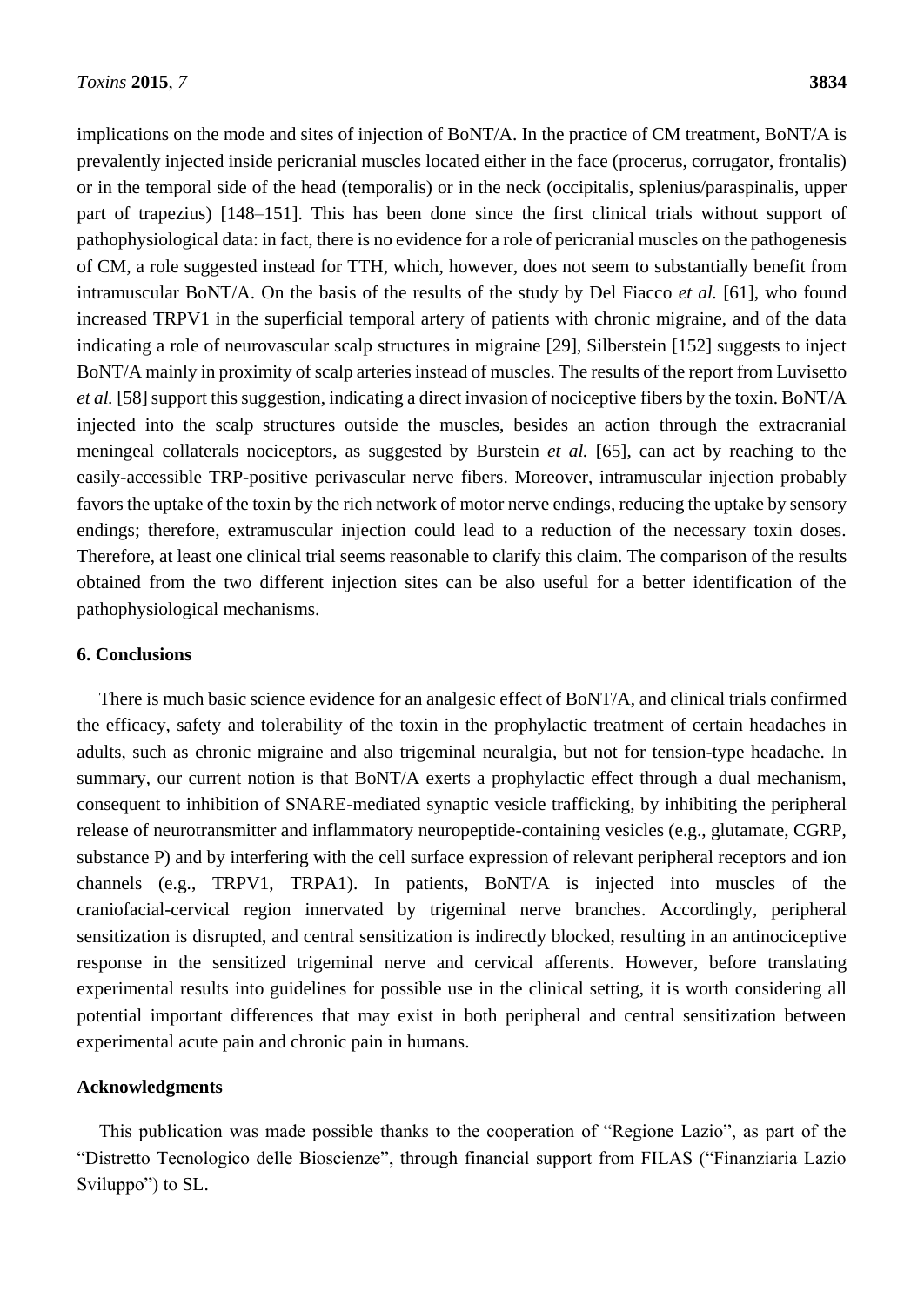implications on the mode and sites of injection of BoNT/A. In the practice of CM treatment, BoNT/A is prevalently injected inside pericranial muscles located either in the face (procerus, corrugator, frontalis) or in the temporal side of the head (temporalis) or in the neck (occipitalis, splenius/paraspinalis, upper part of trapezius) [148–151]. This has been done since the first clinical trials without support of pathophysiological data: in fact, there is no evidence for a role of pericranial muscles on the pathogenesis of CM, a role suggested instead for TTH, which, however, does not seem to substantially benefit from intramuscular BoNT/A. On the basis of the results of the study by Del Fiacco *et al.* [61], who found increased TRPV1 in the superficial temporal artery of patients with chronic migraine, and of the data indicating a role of neurovascular scalp structures in migraine [29], Silberstein [152] suggests to inject BoNT/A mainly in proximity of scalp arteries instead of muscles. The results of the report from Luvisetto *et al.* [58] support this suggestion, indicating a direct invasion of nociceptive fibers by the toxin. BoNT/A injected into the scalp structures outside the muscles, besides an action through the extracranial meningeal collaterals nociceptors, as suggested by Burstein *et al.* [65], can act by reaching to the easily-accessible TRP-positive perivascular nerve fibers. Moreover, intramuscular injection probably favors the uptake of the toxin by the rich network of motor nerve endings, reducing the uptake by sensory endings; therefore, extramuscular injection could lead to a reduction of the necessary toxin doses. Therefore, at least one clinical trial seems reasonable to clarify this claim. The comparison of the results obtained from the two different injection sites can be also useful for a better identification of the pathophysiological mechanisms.

#### **6. Conclusions**

There is much basic science evidence for an analgesic effect of BoNT/A, and clinical trials confirmed the efficacy, safety and tolerability of the toxin in the prophylactic treatment of certain headaches in adults, such as chronic migraine and also trigeminal neuralgia, but not for tension-type headache. In summary, our current notion is that BoNT/A exerts a prophylactic effect through a dual mechanism, consequent to inhibition of SNARE-mediated synaptic vesicle trafficking, by inhibiting the peripheral release of neurotransmitter and inflammatory neuropeptide-containing vesicles (e.g., glutamate, CGRP, substance P) and by interfering with the cell surface expression of relevant peripheral receptors and ion channels (e.g., TRPV1, TRPA1). In patients, BoNT/A is injected into muscles of the craniofacial-cervical region innervated by trigeminal nerve branches. Accordingly, peripheral sensitization is disrupted, and central sensitization is indirectly blocked, resulting in an antinociceptive response in the sensitized trigeminal nerve and cervical afferents. However, before translating experimental results into guidelines for possible use in the clinical setting, it is worth considering all potential important differences that may exist in both peripheral and central sensitization between experimental acute pain and chronic pain in humans.

#### **Acknowledgments**

This publication was made possible thanks to the cooperation of "Regione Lazio", as part of the "Distretto Tecnologico delle Bioscienze", through financial support from FILAS ("Finanziaria Lazio Sviluppo") to SL.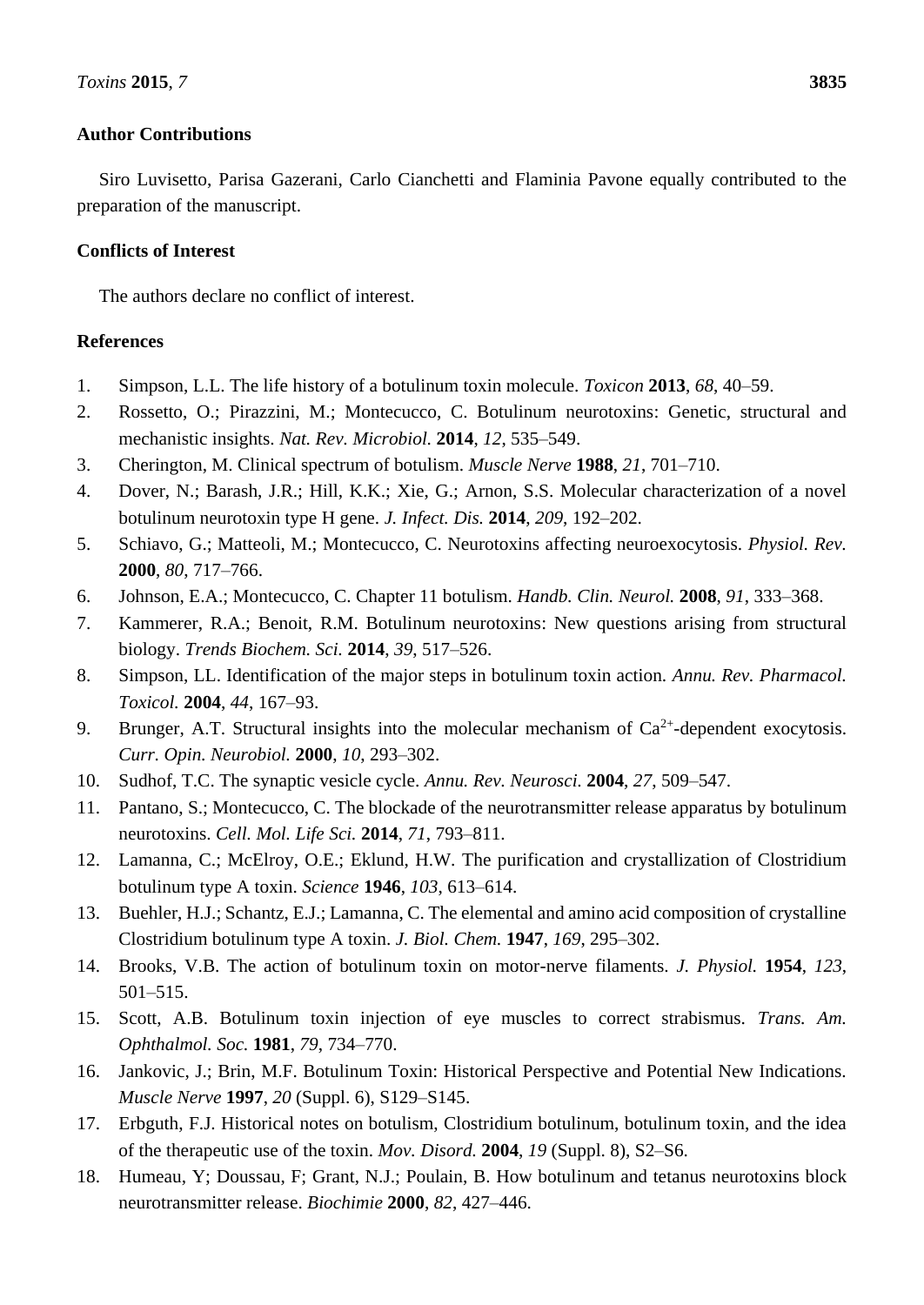## **Author Contributions**

Siro Luvisetto, Parisa Gazerani, Carlo Cianchetti and Flaminia Pavone equally contributed to the preparation of the manuscript.

### **Conflicts of Interest**

The authors declare no conflict of interest.

# **References**

- 1. Simpson, L.L. The life history of a botulinum toxin molecule. *Toxicon* **2013**, *68*, 40–59.
- 2. Rossetto, O.; Pirazzini, M.; Montecucco, C. Botulinum neurotoxins: Genetic, structural and mechanistic insights. *Nat. Rev. Microbiol.* **2014**, *12*, 535–549.
- 3. Cherington, M. Clinical spectrum of botulism. *Muscle Nerve* **1988**, *21*, 701–710.
- 4. Dover, N.; Barash, J.R.; Hill, K.K.; Xie, G.; Arnon, S.S. Molecular characterization of a novel botulinum neurotoxin type H gene. *J. Infect. Dis.* **2014**, *209*, 192–202.
- 5. Schiavo, G.; Matteoli, M.; Montecucco, C. Neurotoxins affecting neuroexocytosis. *Physiol. Rev.* **2000**, *80*, 717–766.
- 6. Johnson, E.A.; Montecucco, C. Chapter 11 botulism. *Handb. Clin. Neurol.* **2008**, *91*, 333–368.
- 7. Kammerer, R.A.; Benoit, R.M. Botulinum neurotoxins: New questions arising from structural biology. *Trends Biochem. Sci.* **2014**, *39*, 517–526.
- 8. Simpson, LL. Identification of the major steps in botulinum toxin action. *Annu. Rev. Pharmacol. Toxicol.* **2004**, *44*, 167–93.
- 9. Brunger, A.T. Structural insights into the molecular mechanism of  $Ca^{2+}$ -dependent exocytosis. *Curr. Opin. Neurobiol.* **2000**, *10*, 293–302.
- 10. Sudhof, T.C. The synaptic vesicle cycle. *Annu. Rev. Neurosci.* **2004**, *27*, 509–547.
- 11. Pantano, S.; Montecucco, C. The blockade of the neurotransmitter release apparatus by botulinum neurotoxins. *Cell. Mol. Life Sci.* **2014**, *71*, 793–811.
- 12. Lamanna, C.; McElroy, O.E.; Eklund, H.W. The purification and crystallization of Clostridium botulinum type A toxin. *Science* **1946**, *103*, 613–614.
- 13. Buehler, H.J.; Schantz, E.J.; Lamanna, C. The elemental and amino acid composition of crystalline Clostridium botulinum type A toxin. *J. Biol. Chem.* **1947**, *169*, 295–302.
- 14. Brooks, V.B. The action of botulinum toxin on motor-nerve filaments. *J. Physiol.* **1954**, *123*, 501–515.
- 15. Scott, A.B. Botulinum toxin injection of eye muscles to correct strabismus. *Trans. Am. Ophthalmol. Soc.* **1981**, *79*, 734–770.
- 16. Jankovic, J.; Brin, M.F. Botulinum Toxin: Historical Perspective and Potential New Indications. *Muscle Nerve* **1997**, *20* (Suppl. 6), S129–S145.
- 17. Erbguth, F.J. Historical notes on botulism, Clostridium botulinum, botulinum toxin, and the idea of the therapeutic use of the toxin. *Mov. Disord.* **2004**, *19* (Suppl. 8), S2–S6.
- 18. Humeau, Y; Doussau, F; Grant, N.J.; Poulain, B. How botulinum and tetanus neurotoxins block neurotransmitter release. *Biochimie* **2000**, *82*, 427–446.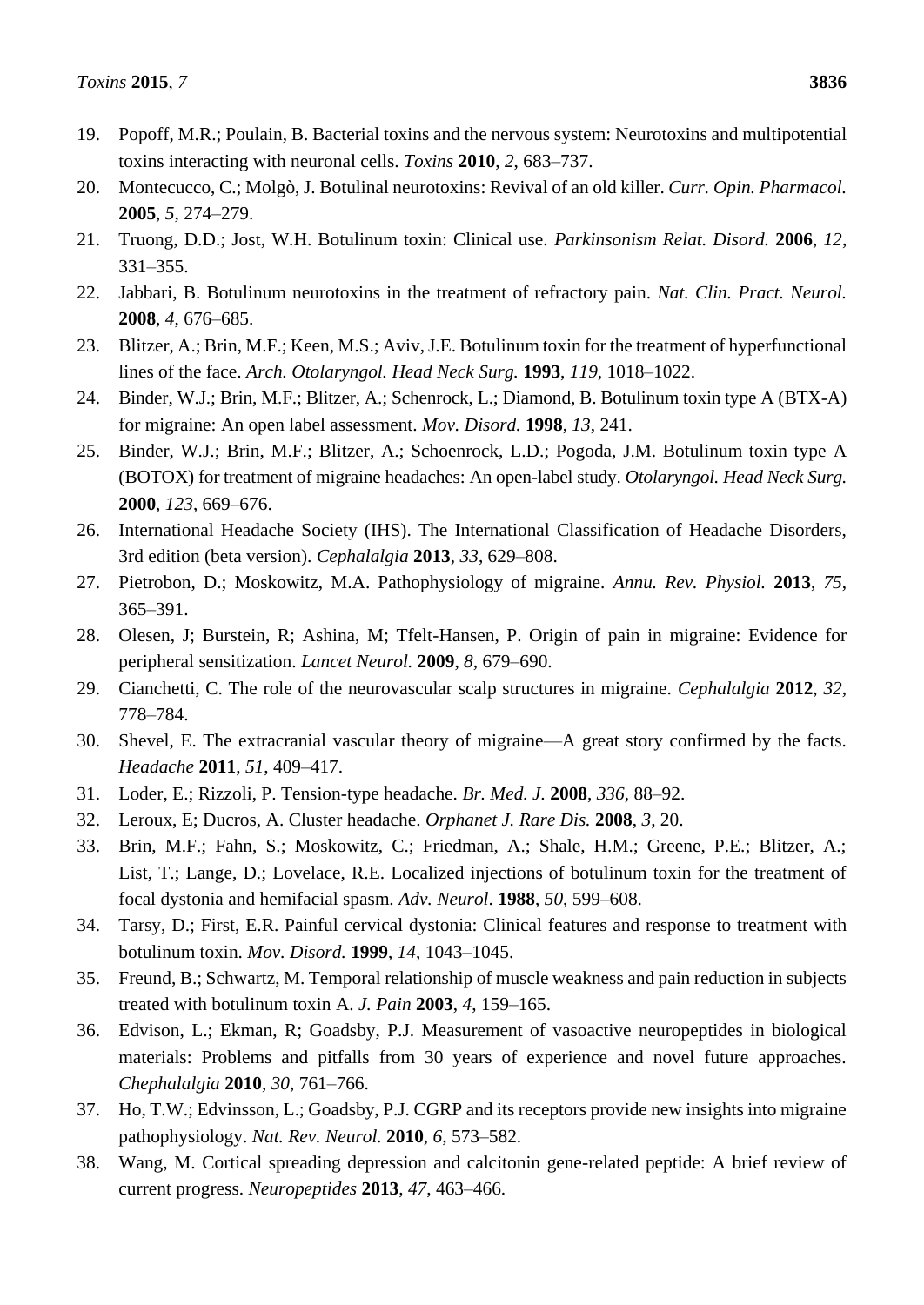- 19. Popoff, M.R.; Poulain, B. Bacterial toxins and the nervous system: Neurotoxins and multipotential toxins interacting with neuronal cells. *Toxins* **2010**, *2*, 683–737.
- 20. Montecucco, C.; Molgò, J. Botulinal neurotoxins: Revival of an old killer. *Curr. Opin. Pharmacol.* **2005**, *5*, 274–279.
- 21. Truong, D.D.; Jost, W.H. Botulinum toxin: Clinical use. *Parkinsonism Relat. Disord.* **2006**, *12*, 331–355.
- 22. Jabbari, B. Botulinum neurotoxins in the treatment of refractory pain. *Nat. Clin. Pract. Neurol.* **2008**, *4*, 676–685.
- 23. Blitzer, A.; Brin, M.F.; Keen, M.S.; Aviv, J.E. Botulinum toxin for the treatment of hyperfunctional lines of the face. *Arch. Otolaryngol. Head Neck Surg.* **1993**, *119*, 1018–1022.
- 24. Binder, W.J.; Brin, M.F.; Blitzer, A.; Schenrock, L.; Diamond, B. Botulinum toxin type A (BTX-A) for migraine: An open label assessment. *Mov. Disord.* **1998**, *13*, 241.
- 25. Binder, W.J.; Brin, M.F.; Blitzer, A.; Schoenrock, L.D.; Pogoda, J.M. Botulinum toxin type A (BOTOX) for treatment of migraine headaches: An open-label study. *Otolaryngol. Head Neck Surg.* **2000**, *123*, 669–676.
- 26. International Headache Society (IHS). The International Classification of Headache Disorders, 3rd edition (beta version). *Cephalalgia* **2013**, *33*, 629–808.
- 27. Pietrobon, D.; Moskowitz, M.A. Pathophysiology of migraine. *Annu. Rev. Physiol.* **2013**, *75*, 365–391.
- 28. Olesen, J; Burstein, R; Ashina, M; Tfelt-Hansen, P. Origin of pain in migraine: Evidence for peripheral sensitization. *Lancet Neurol.* **2009**, *8*, 679–690.
- 29. Cianchetti, C. The role of the neurovascular scalp structures in migraine. *Cephalalgia* **2012**, *32*, 778–784.
- 30. Shevel, E. The extracranial vascular theory of migraine—A great story confirmed by the facts. *Headache* **2011**, *51*, 409–417.
- 31. Loder, E.; Rizzoli, P. Tension-type headache. *Br. Med. J.* **2008**, *336*, 88–92.
- 32. Leroux, E; Ducros, A. Cluster headache. *Orphanet J. Rare Dis.* **2008**, *3*, 20.
- 33. Brin, M.F.; Fahn, S.; Moskowitz, C.; Friedman, A.; Shale, H.M.; Greene, P.E.; Blitzer, A.; List, T.; Lange, D.; Lovelace, R.E. Localized injections of botulinum toxin for the treatment of focal dystonia and hemifacial spasm. *Adv. Neurol*. **1988**, *50*, 599–608.
- 34. Tarsy, D.; First, E.R. Painful cervical dystonia: Clinical features and response to treatment with botulinum toxin. *Mov. Disord.* **1999**, *14*, 1043–1045.
- 35. Freund, B.; Schwartz, M. Temporal relationship of muscle weakness and pain reduction in subjects treated with botulinum toxin A. *J. Pain* **2003**, *4*, 159–165.
- 36. Edvison, L.; Ekman, R; Goadsby, P.J. Measurement of vasoactive neuropeptides in biological materials: Problems and pitfalls from 30 years of experience and novel future approaches. *Chephalalgia* **2010**, *30*, 761–766.
- 37. Ho, T.W.; Edvinsson, L.; Goadsby, P.J. CGRP and its receptors provide new insights into migraine pathophysiology. *Nat. Rev. Neurol.* **2010**, *6*, 573–582.
- 38. Wang, M. Cortical spreading depression and calcitonin gene-related peptide: A brief review of current progress. *Neuropeptides* **2013**, *47*, 463–466.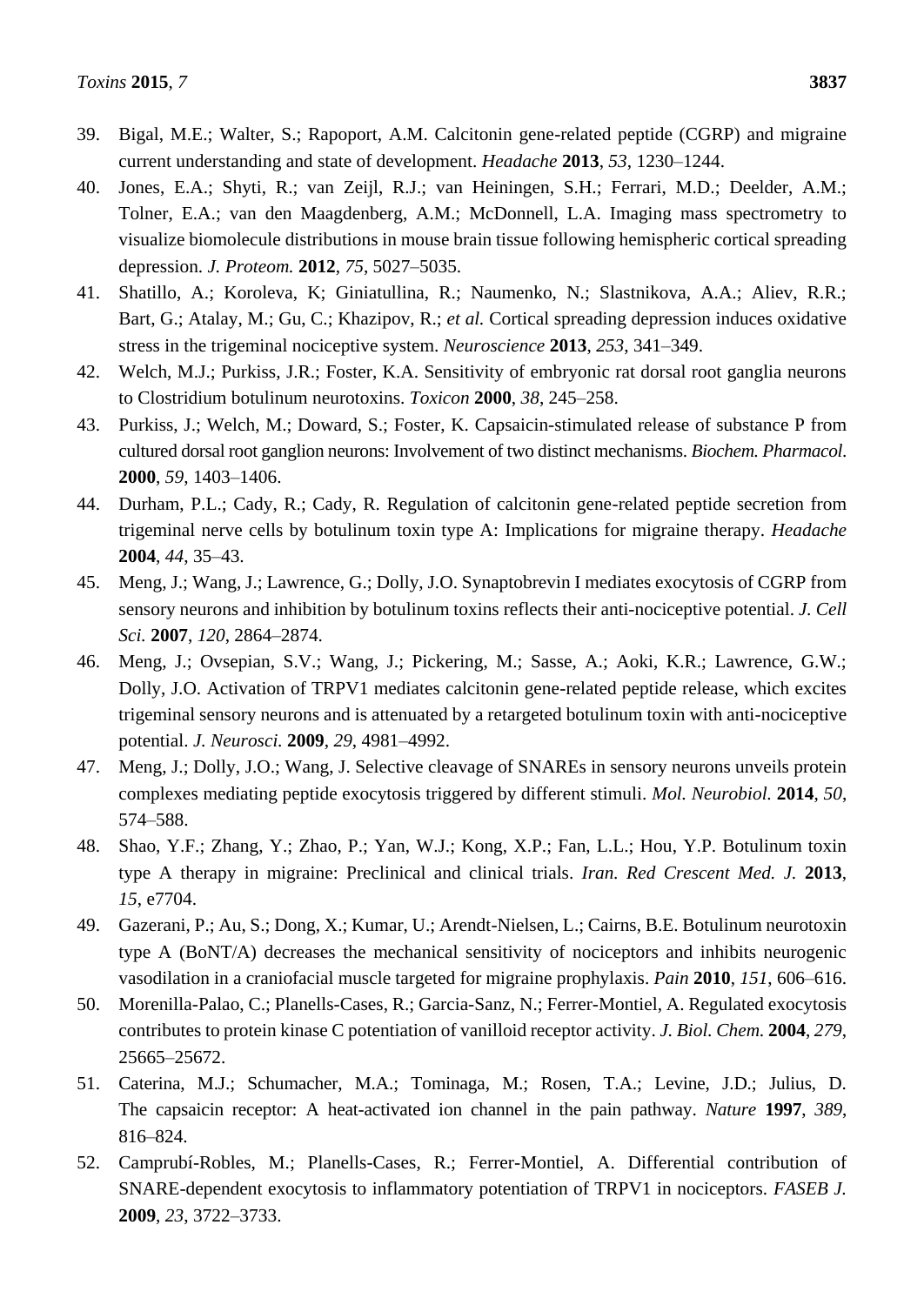- 39. Bigal, M.E.; Walter, S.; Rapoport, A.M. Calcitonin gene-related peptide (CGRP) and migraine current understanding and state of development. *Headache* **2013**, *53*, 1230–1244.
- 40. Jones, E.A.; Shyti, R.; van Zeijl, R.J.; van Heiningen, S.H.; Ferrari, M.D.; Deelder, A.M.; Tolner, E.A.; van den Maagdenberg, A.M.; McDonnell, L.A. Imaging mass spectrometry to visualize biomolecule distributions in mouse brain tissue following hemispheric cortical spreading depression. *J. Proteom.* **2012**, *75*, 5027–5035.
- 41. Shatillo, A.; Koroleva, K; Giniatullina, R.; Naumenko, N.; Slastnikova, A.A.; Aliev, R.R.; Bart, G.; Atalay, M.; Gu, C.; Khazipov, R.; *et al.* Cortical spreading depression induces oxidative stress in the trigeminal nociceptive system. *Neuroscience* **2013**, *253*, 341–349.
- 42. Welch, M.J.; Purkiss, J.R.; Foster, K.A. Sensitivity of embryonic rat dorsal root ganglia neurons to Clostridium botulinum neurotoxins. *Toxicon* **2000**, *38*, 245–258.
- 43. Purkiss, J.; Welch, M.; Doward, S.; Foster, K. Capsaicin-stimulated release of substance P from cultured dorsal root ganglion neurons: Involvement of two distinct mechanisms. *Biochem. Pharmacol*. **2000**, *59*, 1403–1406.
- 44. Durham, P.L.; Cady, R.; Cady, R. Regulation of calcitonin gene-related peptide secretion from trigeminal nerve cells by botulinum toxin type A: Implications for migraine therapy. *Headache* **2004**, *44*, 35–43.
- 45. Meng, J.; Wang, J.; Lawrence, G.; Dolly, J.O. Synaptobrevin I mediates exocytosis of CGRP from sensory neurons and inhibition by botulinum toxins reflects their anti-nociceptive potential. *J. Cell Sci.* **2007**, *120*, 2864–2874.
- 46. Meng, J.; Ovsepian, S.V.; Wang, J.; Pickering, M.; Sasse, A.; Aoki, K.R.; Lawrence, G.W.; Dolly, J.O. Activation of TRPV1 mediates calcitonin gene-related peptide release, which excites trigeminal sensory neurons and is attenuated by a retargeted botulinum toxin with anti-nociceptive potential. *J. Neurosci.* **2009**, *29*, 4981–4992.
- 47. Meng, J.; Dolly, J.O.; Wang, J. Selective cleavage of SNAREs in sensory neurons unveils protein complexes mediating peptide exocytosis triggered by different stimuli. *Mol. Neurobiol.* **2014**, *50*, 574–588.
- 48. Shao, Y.F.; Zhang, Y.; Zhao, P.; Yan, W.J.; Kong, X.P.; Fan, L.L.; Hou, Y.P. Botulinum toxin type A therapy in migraine: Preclinical and clinical trials. *Iran. Red Crescent Med. J.* **2013**, *15*, e7704.
- 49. Gazerani, P.; Au, S.; Dong, X.; Kumar, U.; Arendt-Nielsen, L.; Cairns, B.E. Botulinum neurotoxin type A (BoNT/A) decreases the mechanical sensitivity of nociceptors and inhibits neurogenic vasodilation in a craniofacial muscle targeted for migraine prophylaxis. *Pain* **2010**, *151*, 606–616.
- 50. Morenilla-Palao, C.; Planells-Cases, R.; Garcia-Sanz, N.; Ferrer-Montiel, A. Regulated exocytosis contributes to protein kinase C potentiation of vanilloid receptor activity. *J. Biol. Chem.* **2004**, *279*, 25665–25672.
- 51. Caterina, M.J.; Schumacher, M.A.; Tominaga, M.; Rosen, T.A.; Levine, J.D.; Julius, D. The capsaicin receptor: A heat-activated ion channel in the pain pathway. *Nature* **1997**, *389*, 816–824.
- 52. Camprub iRobles, M.; Planells-Cases, R.; Ferrer-Montiel, A. Differential contribution of SNARE-dependent exocytosis to inflammatory potentiation of TRPV1 in nociceptors. *FASEB J.* **2009**, *23*, 3722–3733.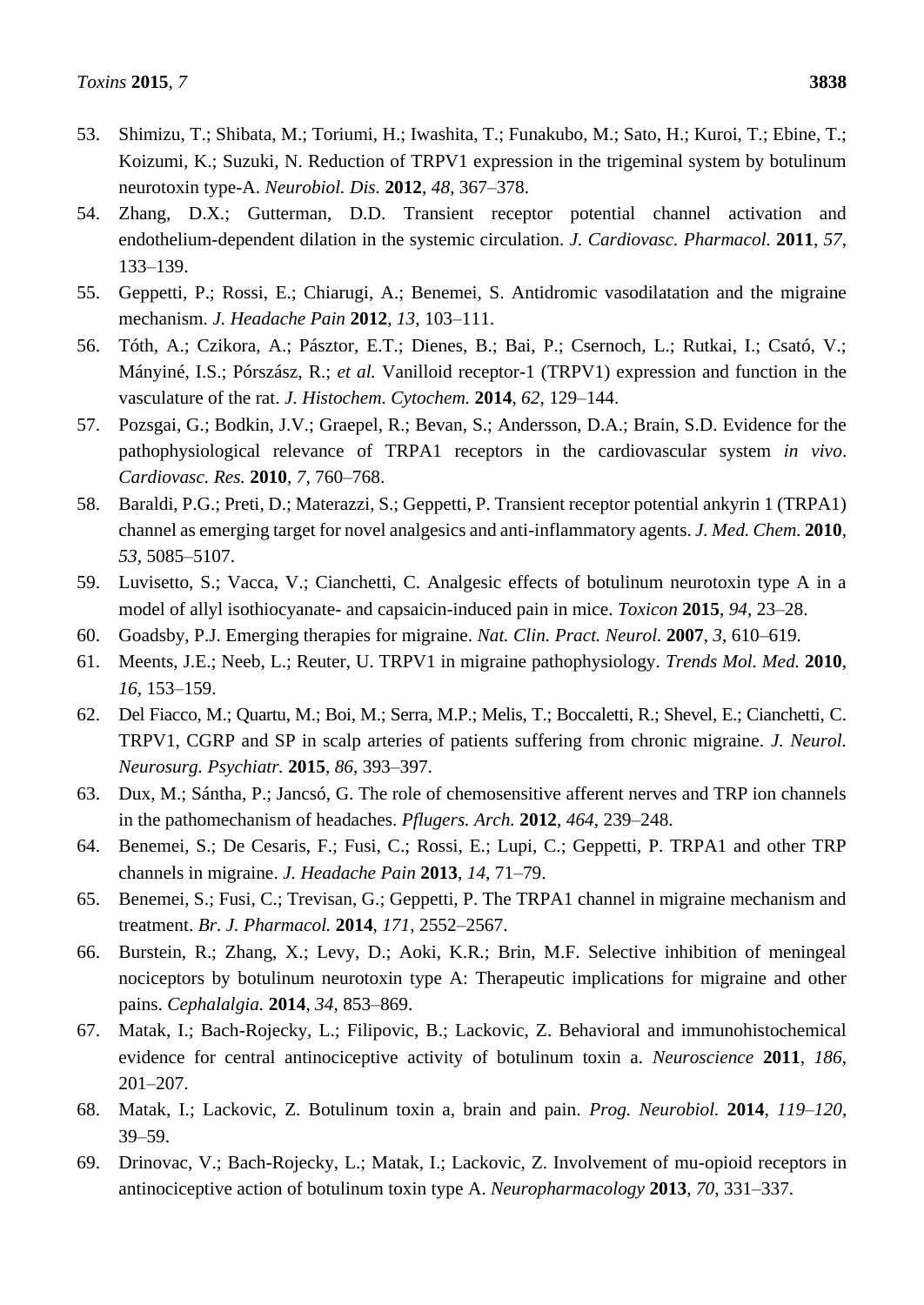- 53. Shimizu, T.; Shibata, M.; Toriumi, H.; Iwashita, T.; Funakubo, M.; Sato, H.; Kuroi, T.; Ebine, T.; Koizumi, K.; Suzuki, N. Reduction of TRPV1 expression in the trigeminal system by botulinum neurotoxin type-A. *Neurobiol. Dis.* **2012**, *48*, 367–378.
- 54. Zhang, D.X.; Gutterman, D.D. Transient receptor potential channel activation and endothelium-dependent dilation in the systemic circulation. *J. Cardiovasc. Pharmacol.* **2011**, *57*, 133–139.
- 55. Geppetti, P.; Rossi, E.; Chiarugi, A.; Benemei, S. Antidromic vasodilatation and the migraine mechanism. *J. Headache Pain* **2012**, *13*, 103–111.
- 56. Tóth, A.; Czikora, A.; Pásztor, E.T.; Dienes, B.; Bai, P.; Csernoch, L.; Rutkai, I.; Csató, V.; Mányiné, I.S.; Pórszász, R.; *et al.* Vanilloid receptor-1 (TRPV1) expression and function in the vasculature of the rat. *J. Histochem. Cytochem.* **2014**, *62*, 129–144.
- 57. Pozsgai, G.; Bodkin, J.V.; Graepel, R.; Bevan, S.; Andersson, D.A.; Brain, S.D. Evidence for the pathophysiological relevance of TRPA1 receptors in the cardiovascular system *in vivo*. *Cardiovasc. Res.* **2010**, *7*, 760–768.
- 58. Baraldi, P.G.; Preti, D.; Materazzi, S.; Geppetti, P. Transient receptor potential ankyrin 1 (TRPA1) channel as emerging target for novel analgesics and anti-inflammatory agents. *J. Med. Chem.* **2010**, *53*, 5085–5107.
- 59. Luvisetto, S.; Vacca, V.; Cianchetti, C. Analgesic effects of botulinum neurotoxin type A in a model of allyl isothiocyanate- and capsaicin-induced pain in mice. *Toxicon* **2015**, *94*, 23–28.
- 60. Goadsby, P.J. Emerging therapies for migraine. *Nat. Clin. Pract. Neurol.* **2007**, *3*, 610–619.
- 61. Meents, J.E.; Neeb, L.; Reuter, U. TRPV1 in migraine pathophysiology. *Trends Mol. Med.* **2010**, *16*, 153–159.
- 62. Del Fiacco, M.; Quartu, M.; Boi, M.; Serra, M.P.; Melis, T.; Boccaletti, R.; Shevel, E.; Cianchetti, C. TRPV1, CGRP and SP in scalp arteries of patients suffering from chronic migraine. *J. Neurol. Neurosurg. Psychiatr.* **2015**, *86*, 393–397.
- 63. Dux, M.; Sántha, P.; Jancsó, G. The role of chemosensitive afferent nerves and TRP ion channels in the pathomechanism of headaches. *Pflugers. Arch.* **2012**, *464*, 239–248.
- 64. Benemei, S.; De Cesaris, F.; Fusi, C.; Rossi, E.; Lupi, C.; Geppetti, P. TRPA1 and other TRP channels in migraine. *J. Headache Pain* **2013**, *14*, 71–79.
- 65. Benemei, S.; Fusi, C.; Trevisan, G.; Geppetti, P. The TRPA1 channel in migraine mechanism and treatment. *Br. J. Pharmacol.* **2014**, *171*, 2552–2567.
- 66. Burstein, R.; Zhang, X.; Levy, D.; Aoki, K.R.; Brin, M.F. Selective inhibition of meningeal nociceptors by botulinum neurotoxin type A: Therapeutic implications for migraine and other pains. *Cephalalgia.* **2014**, *34*, 853–869.
- 67. Matak, I.; Bach-Rojecky, L.; Filipovic, B.; Lackovic, Z. Behavioral and immunohistochemical evidence for central antinociceptive activity of botulinum toxin a. *Neuroscience* **2011**, *186*, 201–207.
- 68. Matak, I.; Lackovic, Z. Botulinum toxin a, brain and pain. *Prog. Neurobiol.* **2014**, *119–120*, 39–59.
- 69. Drinovac, V.; Bach-Rojecky, L.; Matak, I.; Lackovic, Z. Involvement of mu-opioid receptors in antinociceptive action of botulinum toxin type A. *Neuropharmacology* **2013**, *70*, 331–337.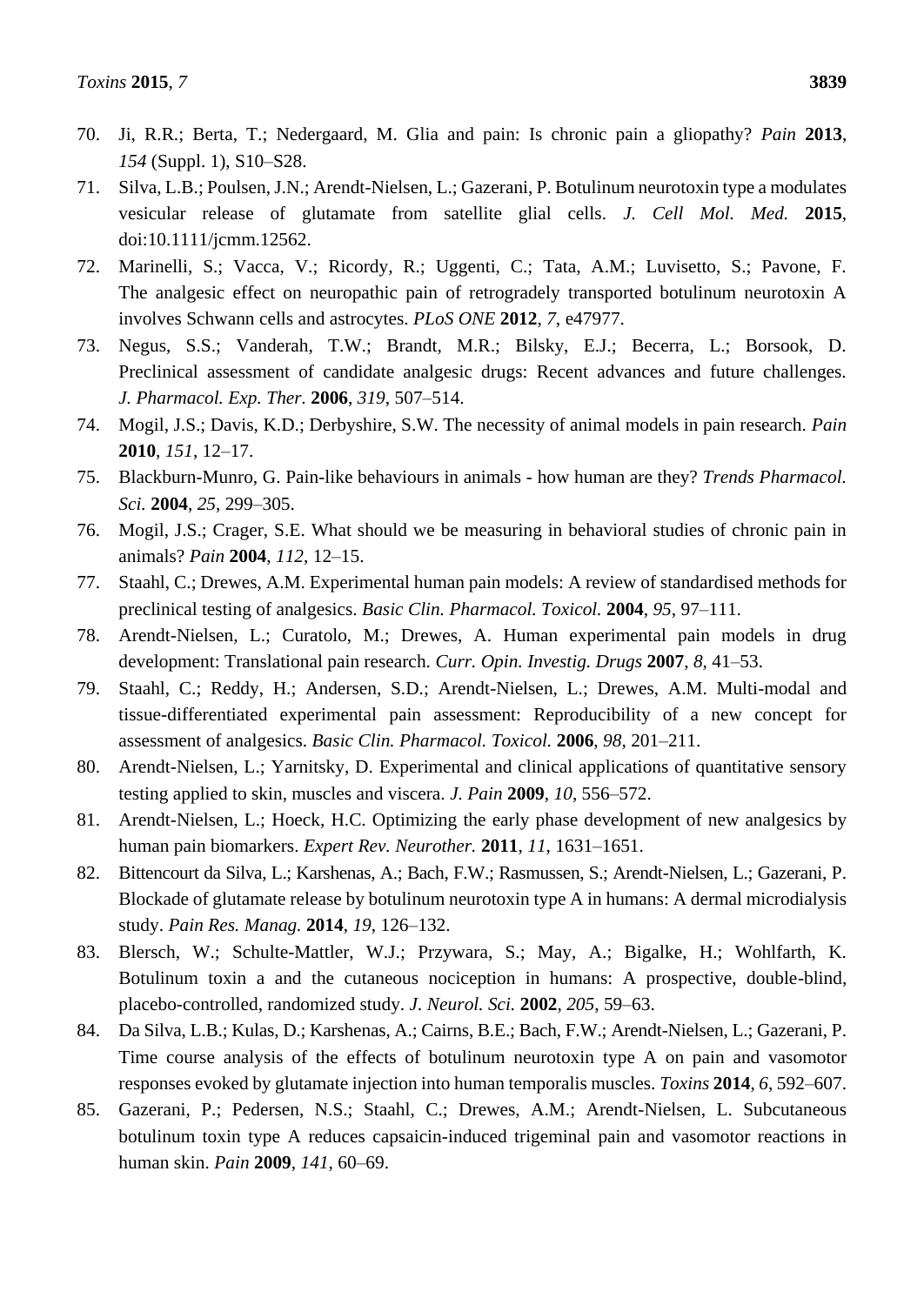- 70. Ji, R.R.; Berta, T.; Nedergaard, M. Glia and pain: Is chronic pain a gliopathy? *Pain* **2013**, *154* (Suppl. 1), S10–S28.
- 71. Silva, L.B.; Poulsen, J.N.; Arendt-Nielsen, L.; Gazerani, P. Botulinum neurotoxin type a modulates vesicular release of glutamate from satellite glial cells. *J. Cell Mol. Med.* **2015**, doi:10.1111/jcmm.12562.
- 72. Marinelli, S.; Vacca, V.; Ricordy, R.; Uggenti, C.; Tata, A.M.; Luvisetto, S.; Pavone, F. The analgesic effect on neuropathic pain of retrogradely transported botulinum neurotoxin A involves Schwann cells and astrocytes. *PLoS ONE* **2012**, *7*, e47977.
- 73. Negus, S.S.; Vanderah, T.W.; Brandt, M.R.; Bilsky, E.J.; Becerra, L.; Borsook, D. Preclinical assessment of candidate analgesic drugs: Recent advances and future challenges. *J. Pharmacol. Exp. Ther.* **2006**, *319*, 507–514.
- 74. Mogil, J.S.; Davis, K.D.; Derbyshire, S.W. The necessity of animal models in pain research. *Pain* **2010**, *151*, 12–17.
- 75. Blackburn-Munro, G. Pain-like behaviours in animals how human are they? *Trends Pharmacol. Sci.* **2004**, *25*, 299–305.
- 76. Mogil, J.S.; Crager, S.E. What should we be measuring in behavioral studies of chronic pain in animals? *Pain* **2004**, *112*, 12–15.
- 77. Staahl, C.; Drewes, A.M. Experimental human pain models: A review of standardised methods for preclinical testing of analgesics. *Basic Clin. Pharmacol. Toxicol.* **2004**, *95*, 97–111.
- 78. Arendt-Nielsen, L.; Curatolo, M.; Drewes, A. Human experimental pain models in drug development: Translational pain research. *Curr. Opin. Investig. Drugs* **2007**, *8*, 41–53.
- 79. Staahl, C.; Reddy, H.; Andersen, S.D.; Arendt-Nielsen, L.; Drewes, A.M. Multi-modal and tissue-differentiated experimental pain assessment: Reproducibility of a new concept for assessment of analgesics. *Basic Clin. Pharmacol. Toxicol.* **2006**, *98*, 201–211.
- 80. Arendt-Nielsen, L.; Yarnitsky, D. Experimental and clinical applications of quantitative sensory testing applied to skin, muscles and viscera. *J. Pain* **2009**, *10*, 556–572.
- 81. Arendt-Nielsen, L.; Hoeck, H.C. Optimizing the early phase development of new analgesics by human pain biomarkers. *Expert Rev. Neurother.* **2011**, *11*, 1631–1651.
- 82. Bittencourt da Silva, L.; Karshenas, A.; Bach, F.W.; Rasmussen, S.; Arendt-Nielsen, L.; Gazerani, P. Blockade of glutamate release by botulinum neurotoxin type A in humans: A dermal microdialysis study. *Pain Res. Manag.* **2014**, *19*, 126–132.
- 83. Blersch, W.; Schulte-Mattler, W.J.; Przywara, S.; May, A.; Bigalke, H.; Wohlfarth, K. Botulinum toxin a and the cutaneous nociception in humans: A prospective, double-blind, placebo-controlled, randomized study. *J. Neurol. Sci.* **2002**, *205*, 59–63.
- 84. Da Silva, L.B.; Kulas, D.; Karshenas, A.; Cairns, B.E.; Bach, F.W.; Arendt-Nielsen, L.; Gazerani, P. Time course analysis of the effects of botulinum neurotoxin type A on pain and vasomotor responses evoked by glutamate injection into human temporalis muscles. *Toxins* **2014**, *6*, 592–607.
- 85. Gazerani, P.; Pedersen, N.S.; Staahl, C.; Drewes, A.M.; Arendt-Nielsen, L. Subcutaneous botulinum toxin type A reduces capsaicin-induced trigeminal pain and vasomotor reactions in human skin. *Pain* **2009**, *141*, 60–69.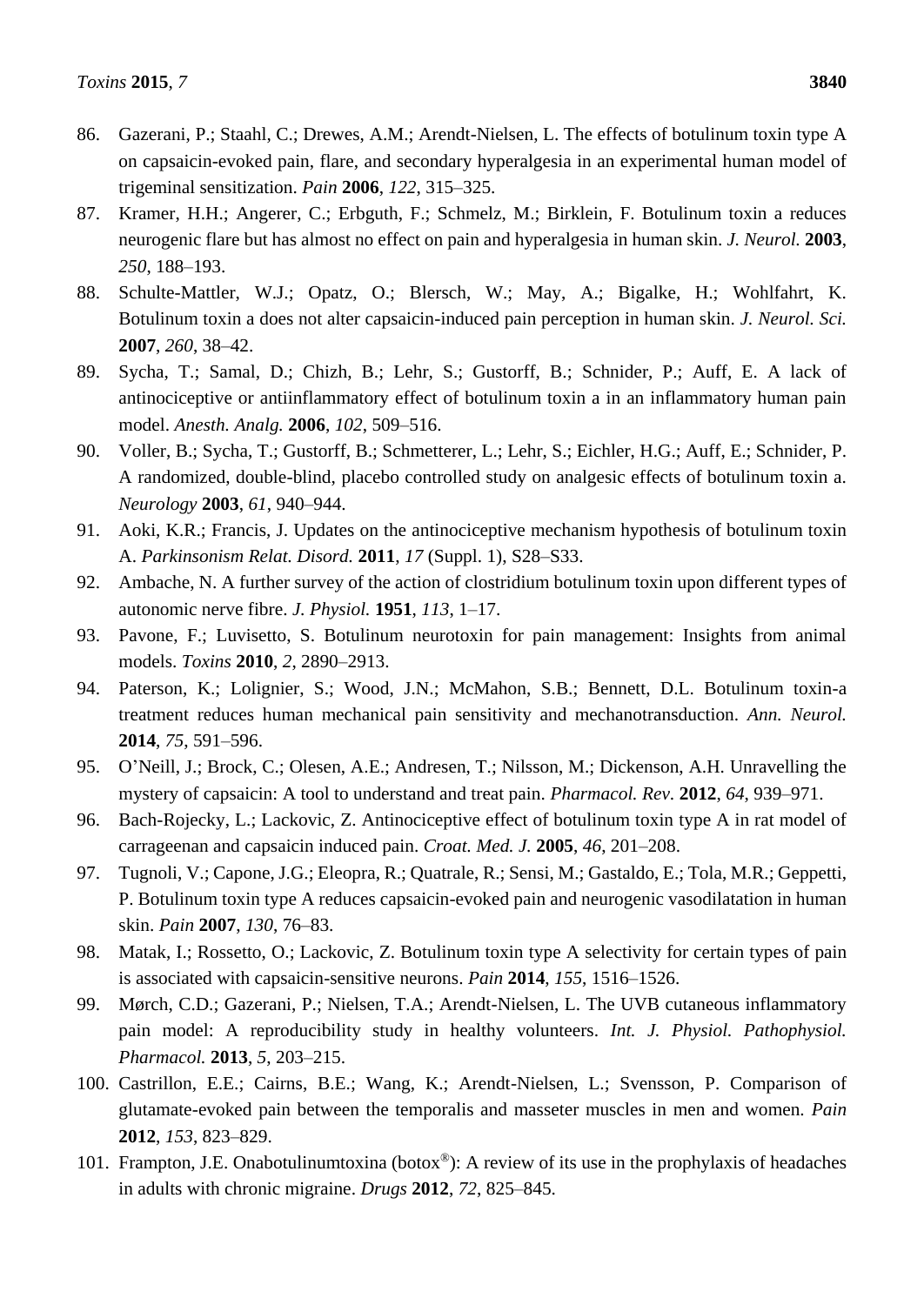- 86. Gazerani, P.; Staahl, C.; Drewes, A.M.; Arendt-Nielsen, L. The effects of botulinum toxin type A on capsaicin-evoked pain, flare, and secondary hyperalgesia in an experimental human model of trigeminal sensitization. *Pain* **2006**, *122*, 315–325.
- 87. Kramer, H.H.; Angerer, C.; Erbguth, F.; Schmelz, M.; Birklein, F. Botulinum toxin a reduces neurogenic flare but has almost no effect on pain and hyperalgesia in human skin. *J. Neurol.* **2003**, *250*, 188–193.
- 88. Schulte-Mattler, W.J.; Opatz, O.; Blersch, W.; May, A.; Bigalke, H.; Wohlfahrt, K. Botulinum toxin a does not alter capsaicin-induced pain perception in human skin. *J. Neurol. Sci.* **2007**, *260*, 38–42.
- 89. Sycha, T.; Samal, D.; Chizh, B.; Lehr, S.; Gustorff, B.; Schnider, P.; Auff, E. A lack of antinociceptive or antiinflammatory effect of botulinum toxin a in an inflammatory human pain model. *Anesth. Analg.* **2006**, *102*, 509–516.
- 90. Voller, B.; Sycha, T.; Gustorff, B.; Schmetterer, L.; Lehr, S.; Eichler, H.G.; Auff, E.; Schnider, P. A randomized, double-blind, placebo controlled study on analgesic effects of botulinum toxin a. *Neurology* **2003**, *61*, 940–944.
- 91. Aoki, K.R.; Francis, J. Updates on the antinociceptive mechanism hypothesis of botulinum toxin A. *Parkinsonism Relat. Disord.* **2011**, *17* (Suppl. 1), S28–S33.
- 92. Ambache, N. A further survey of the action of clostridium botulinum toxin upon different types of autonomic nerve fibre. *J. Physiol.* **1951**, *113*, 1–17.
- 93. Pavone, F.; Luvisetto, S. Botulinum neurotoxin for pain management: Insights from animal models. *Toxins* **2010**, *2*, 2890–2913.
- 94. Paterson, K.; Lolignier, S.; Wood, J.N.; McMahon, S.B.; Bennett, D.L. Botulinum toxin-a treatment reduces human mechanical pain sensitivity and mechanotransduction. *Ann. Neurol.* **2014**, *75*, 591–596.
- 95. O'Neill, J.; Brock, C.; Olesen, A.E.; Andresen, T.; Nilsson, M.; Dickenson, A.H. Unravelling the mystery of capsaicin: A tool to understand and treat pain. *Pharmacol. Rev.* **2012**, *64*, 939–971.
- 96. Bach-Rojecky, L.; Lackovic, Z. Antinociceptive effect of botulinum toxin type A in rat model of carrageenan and capsaicin induced pain. *Croat. Med. J.* **2005**, *46*, 201–208.
- 97. Tugnoli, V.; Capone, J.G.; Eleopra, R.; Quatrale, R.; Sensi, M.; Gastaldo, E.; Tola, M.R.; Geppetti, P. Botulinum toxin type A reduces capsaicin-evoked pain and neurogenic vasodilatation in human skin. *Pain* **2007**, *130*, 76–83.
- 98. Matak, I.; Rossetto, O.; Lackovic, Z. Botulinum toxin type A selectivity for certain types of pain is associated with capsaicin-sensitive neurons. *Pain* **2014**, *155*, 1516–1526.
- 99. Mørch, C.D.; Gazerani, P.; Nielsen, T.A.; Arendt-Nielsen, L. The UVB cutaneous inflammatory pain model: A reproducibility study in healthy volunteers. *Int. J. Physiol. Pathophysiol. Pharmacol.* **2013**, *5*, 203–215.
- 100. Castrillon, E.E.; Cairns, B.E.; Wang, K.; Arendt-Nielsen, L.; Svensson, P. Comparison of glutamate-evoked pain between the temporalis and masseter muscles in men and women. *Pain* **2012**, *153*, 823–829.
- 101. Frampton, J.E. Onabotulinumtoxina (botox®): A review of its use in the prophylaxis of headaches in adults with chronic migraine. *Drugs* **2012**, *72*, 825–845.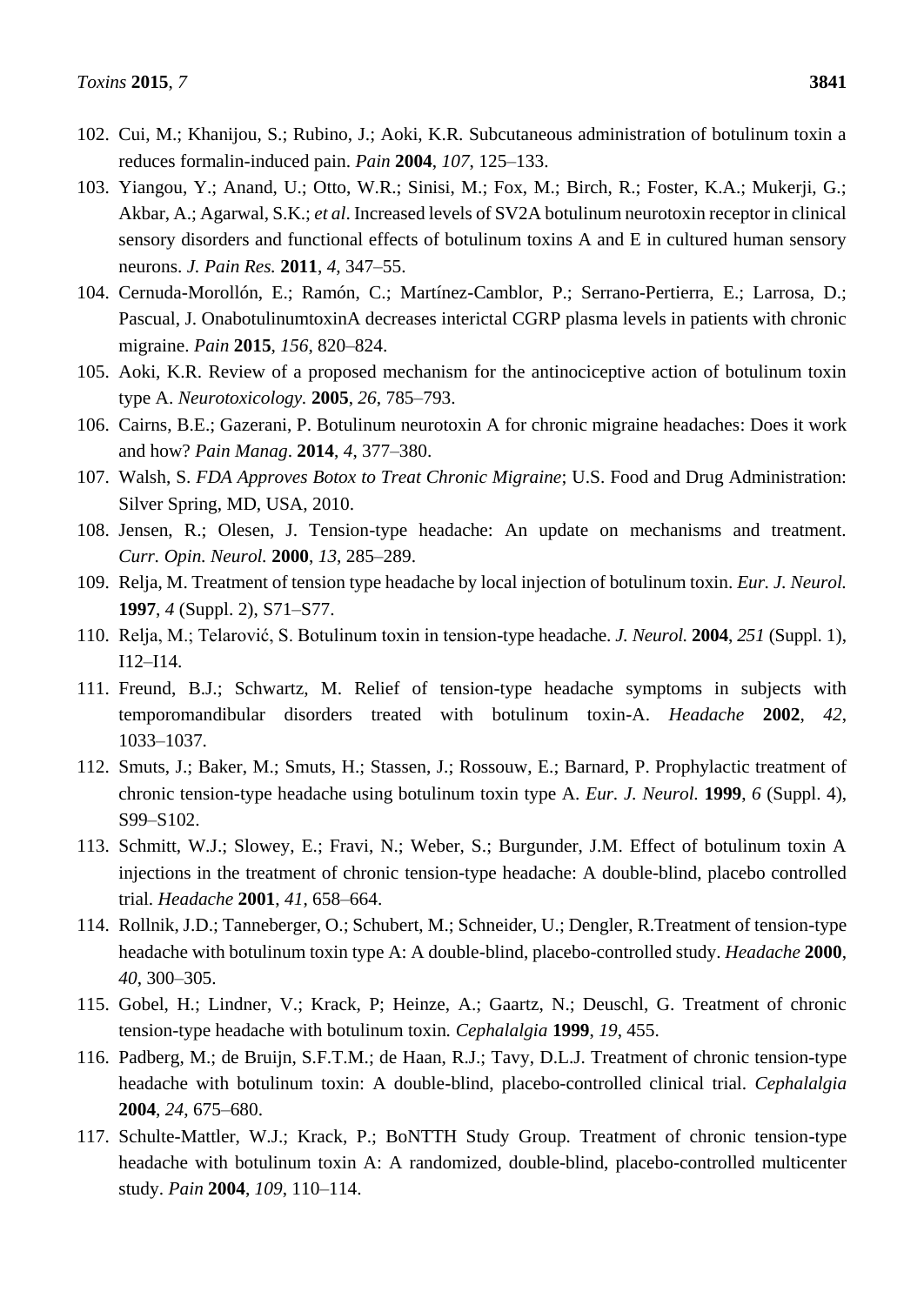- 102. Cui, M.; Khanijou, S.; Rubino, J.; Aoki, K.R. Subcutaneous administration of botulinum toxin a reduces formalin-induced pain. *Pain* **2004**, *107*, 125–133.
- 103. Yiangou, Y.; Anand, U.; Otto, W.R.; Sinisi, M.; Fox, M.; Birch, R.; Foster, K.A.; Mukerji, G.; Akbar, A.; Agarwal, S.K.; *et al*. Increased levels of SV2A botulinum neurotoxin receptor in clinical sensory disorders and functional effects of botulinum toxins A and E in cultured human sensory neurons. *J. Pain Res.* **2011**, *4*, 347–55.
- 104. Cernuda-Morollón, E.; Ramón, C.; Martínez-Camblor, P.; Serrano-Pertierra, E.; Larrosa, D.; Pascual, J. OnabotulinumtoxinA decreases interictal CGRP plasma levels in patients with chronic migraine. *Pain* **2015**, *156*, 820–824.
- 105. Aoki, K.R. Review of a proposed mechanism for the antinociceptive action of botulinum toxin type A. *Neurotoxicology.* **2005**, *26*, 785–793.
- 106. Cairns, B.E.; Gazerani, P. Botulinum neurotoxin A for chronic migraine headaches: Does it work and how? *Pain Manag*. **2014**, *4*, 377–380.
- 107. Walsh, S. *FDA Approves Botox to Treat Chronic Migraine*; U.S. Food and Drug Administration: Silver Spring, MD, USA, 2010.
- 108. Jensen, R.; Olesen, J. Tension-type headache: An update on mechanisms and treatment. *Curr. Opin. Neurol.* **2000**, *13*, 285–289.
- 109. Relja, M. Treatment of tension type headache by local injection of botulinum toxin. *Eur. J. Neurol.* **1997**, *4* (Suppl. 2), S71–S77.
- 110. Relja, M.; Telarović, S. Botulinum toxin in tension-type headache. *J. Neurol.* **2004**, *251* (Suppl. 1), I12–I14.
- 111. Freund, B.J.; Schwartz, M. Relief of tension-type headache symptoms in subjects with temporomandibular disorders treated with botulinum toxin-A. *Headache* **2002**, *42*, 1033–1037.
- 112. Smuts, J.; Baker, M.; Smuts, H.; Stassen, J.; Rossouw, E.; Barnard, P. Prophylactic treatment of chronic tension-type headache using botulinum toxin type A. *Eur. J. Neurol.* **1999**, *6* (Suppl. 4), S99–S102.
- 113. Schmitt, W.J.; Slowey, E.; Fravi, N.; Weber, S.; Burgunder, J.M. Effect of botulinum toxin A injections in the treatment of chronic tension-type headache: A double-blind, placebo controlled trial. *Headache* **2001**, *41*, 658–664.
- 114. Rollnik, J.D.; Tanneberger, O.; Schubert, M.; Schneider, U.; Dengler, R.Treatment of tension-type headache with botulinum toxin type A: A double-blind, placebo-controlled study. *Headache* **2000**, *40*, 300–305.
- 115. Gobel, H.; Lindner, V.; Krack, P; Heinze, A.; Gaartz, N.; Deuschl, G. Treatment of chronic tension-type headache with botulinum toxin*. Cephalalgia* **1999**, *19*, 455.
- 116. Padberg, M.; de Bruijn, S.F.T.M.; de Haan, R.J.; Tavy, D.L.J. Treatment of chronic tension-type headache with botulinum toxin: A double-blind, placebo-controlled clinical trial. *Cephalalgia* **2004**, *24*, 675–680.
- 117. Schulte-Mattler, W.J.; Krack, P.; BoNTTH Study Group. Treatment of chronic tension-type headache with botulinum toxin A: A randomized, double-blind, placebo-controlled multicenter study. *Pain* **2004**, *109*, 110–114.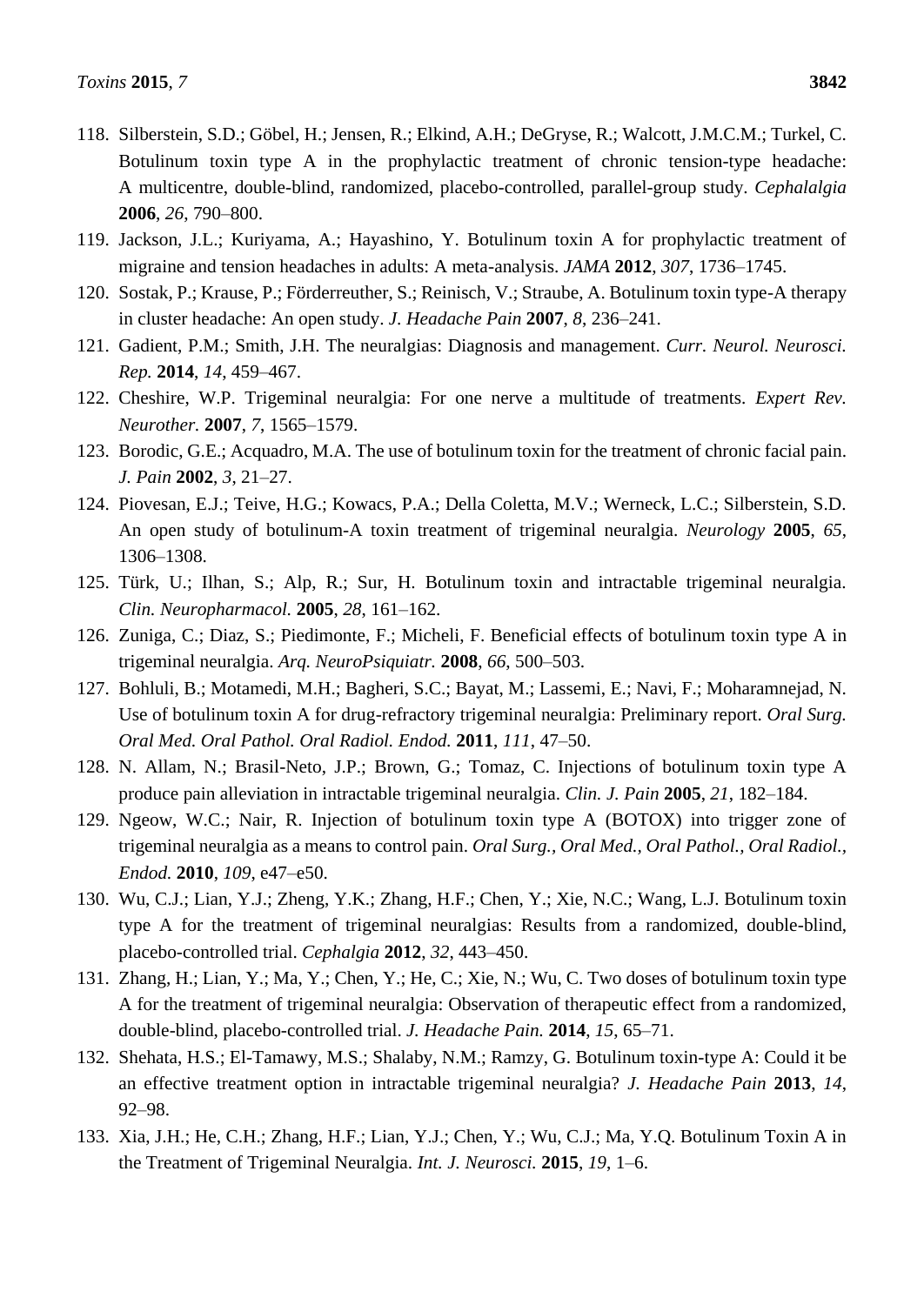- 118. Silberstein, S.D.; Göbel, H.; Jensen, R.; Elkind, A.H.; DeGryse, R.; Walcott, J.M.C.M.; Turkel, C. Botulinum toxin type A in the prophylactic treatment of chronic tension-type headache: A multicentre, double-blind, randomized, placebo-controlled, parallel-group study. *Cephalalgia* **2006**, *26*, 790–800.
- 119. Jackson, J.L.; Kuriyama, A.; Hayashino, Y. Botulinum toxin A for prophylactic treatment of migraine and tension headaches in adults: A meta-analysis. *JAMA* **2012**, *307*, 1736–1745.
- 120. Sostak, P.; Krause, P.; Förderreuther, S.; Reinisch, V.; Straube, A. Botulinum toxin type-A therapy in cluster headache: An open study. *J. Headache Pain* **2007**, *8*, 236–241.
- 121. Gadient, P.M.; Smith, J.H. The neuralgias: Diagnosis and management. *Curr. Neurol. Neurosci. Rep.* **2014**, *14*, 459–467.
- 122. Cheshire, W.P. Trigeminal neuralgia: For one nerve a multitude of treatments. *Expert Rev. Neurother.* **2007**, *7*, 1565–1579.
- 123. Borodic, G.E.; Acquadro, M.A. The use of botulinum toxin for the treatment of chronic facial pain. *J. Pain* **2002**, *3*, 21–27.
- 124. Piovesan, E.J.; Teive, H.G.; Kowacs, P.A.; Della Coletta, M.V.; Werneck, L.C.; Silberstein, S.D. An open study of botulinum-A toxin treatment of trigeminal neuralgia. *Neurology* **2005**, *65*, 1306–1308.
- 125. Türk, U.; Ilhan, S.; Alp, R.; Sur, H. Botulinum toxin and intractable trigeminal neuralgia. *Clin. Neuropharmacol.* **2005**, *28*, 161–162.
- 126. Zuniga, C.; Diaz, S.; Piedimonte, F.; Micheli, F. Beneficial effects of botulinum toxin type A in trigeminal neuralgia. *Arq. NeuroPsiquiatr.* **2008**, *66*, 500–503.
- 127. Bohluli, B.; Motamedi, M.H.; Bagheri, S.C.; Bayat, M.; Lassemi, E.; Navi, F.; Moharamnejad, N. Use of botulinum toxin A for drug-refractory trigeminal neuralgia: Preliminary report. *Oral Surg. Oral Med. Oral Pathol. Oral Radiol. Endod.* **2011**, *111*, 47–50.
- 128. N. Allam, N.; Brasil-Neto, J.P.; Brown, G.; Tomaz, C. Injections of botulinum toxin type A produce pain alleviation in intractable trigeminal neuralgia. *Clin. J. Pain* **2005**, *21*, 182–184.
- 129. Ngeow, W.C.; Nair, R. Injection of botulinum toxin type A (BOTOX) into trigger zone of trigeminal neuralgia as a means to control pain. *Oral Surg., Oral Med., Oral Pathol., Oral Radiol., Endod.* **2010**, *109*, e47–e50.
- 130. Wu, C.J.; Lian, Y.J.; Zheng, Y.K.; Zhang, H.F.; Chen, Y.; Xie, N.C.; Wang, L.J. Botulinum toxin type A for the treatment of trigeminal neuralgias: Results from a randomized, double-blind, placebo-controlled trial. *Cephalgia* **2012**, *32*, 443–450.
- 131. Zhang, H.; Lian, Y.; Ma, Y.; Chen, Y.; He, C.; Xie, N.; Wu, C. Two doses of botulinum toxin type A for the treatment of trigeminal neuralgia: Observation of therapeutic effect from a randomized, double-blind, placebo-controlled trial. *J. Headache Pain.* **2014**, *15*, 65–71.
- 132. Shehata, H.S.; El-Tamawy, M.S.; Shalaby, N.M.; Ramzy, G. Botulinum toxin-type A: Could it be an effective treatment option in intractable trigeminal neuralgia? *J. Headache Pain* **2013**, *14*, 92–98.
- 133. Xia, J.H.; He, C.H.; Zhang, H.F.; Lian, Y.J.; Chen, Y.; Wu, C.J.; Ma, Y.Q. Botulinum Toxin A in the Treatment of Trigeminal Neuralgia. *Int. J. Neurosci.* **2015**, *19*, 1–6.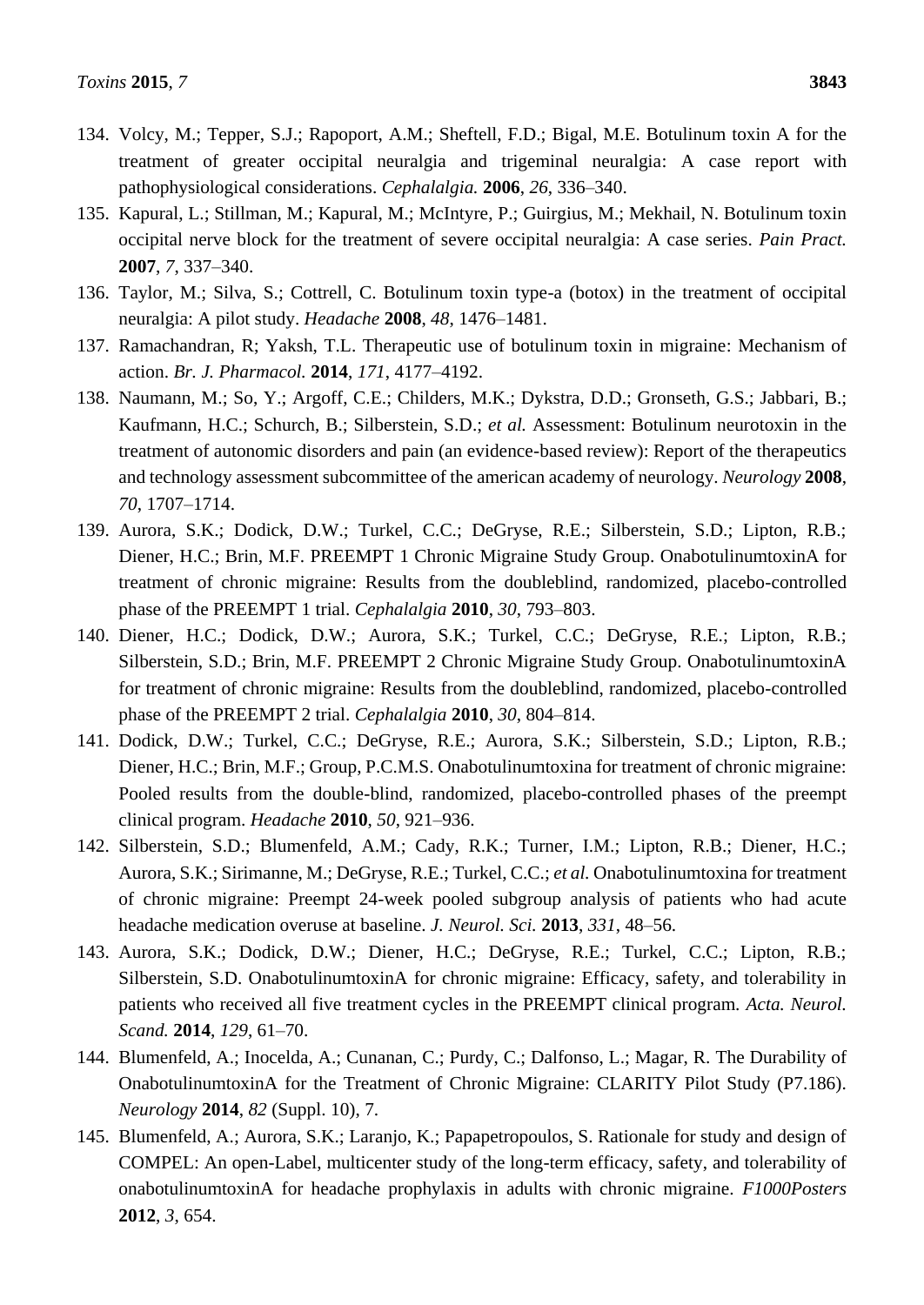- 134. Volcy, M.; Tepper, S.J.; Rapoport, A.M.; Sheftell, F.D.; Bigal, M.E. Botulinum toxin A for the treatment of greater occipital neuralgia and trigeminal neuralgia: A case report with pathophysiological considerations. *Cephalalgia.* **2006**, *26*, 336–340.
- 135. Kapural, L.; Stillman, M.; Kapural, M.; McIntyre, P.; Guirgius, M.; Mekhail, N. Botulinum toxin occipital nerve block for the treatment of severe occipital neuralgia: A case series. *Pain Pract.* **2007**, *7*, 337–340.
- 136. Taylor, M.; Silva, S.; Cottrell, C. Botulinum toxin type-a (botox) in the treatment of occipital neuralgia: A pilot study. *Headache* **2008**, *48*, 1476–1481.
- 137. Ramachandran, R; Yaksh, T.L. Therapeutic use of botulinum toxin in migraine: Mechanism of action. *Br. J. Pharmacol.* **2014**, *171*, 4177–4192.
- 138. Naumann, M.; So, Y.; Argoff, C.E.; Childers, M.K.; Dykstra, D.D.; Gronseth, G.S.; Jabbari, B.; Kaufmann, H.C.; Schurch, B.; Silberstein, S.D.; *et al.* Assessment: Botulinum neurotoxin in the treatment of autonomic disorders and pain (an evidence-based review): Report of the therapeutics and technology assessment subcommittee of the american academy of neurology. *Neurology* **2008**, *70*, 1707–1714.
- 139. Aurora, S.K.; Dodick, D.W.; Turkel, C.C.; DeGryse, R.E.; Silberstein, S.D.; Lipton, R.B.; Diener, H.C.; Brin, M.F. PREEMPT 1 Chronic Migraine Study Group. OnabotulinumtoxinA for treatment of chronic migraine: Results from the doubleblind, randomized, placebo-controlled phase of the PREEMPT 1 trial. *Cephalalgia* **2010**, *30*, 793–803.
- 140. Diener, H.C.; Dodick, D.W.; Aurora, S.K.; Turkel, C.C.; DeGryse, R.E.; Lipton, R.B.; Silberstein, S.D.; Brin, M.F. PREEMPT 2 Chronic Migraine Study Group. OnabotulinumtoxinA for treatment of chronic migraine: Results from the doubleblind, randomized, placebo-controlled phase of the PREEMPT 2 trial. *Cephalalgia* **2010**, *30*, 804–814.
- 141. Dodick, D.W.; Turkel, C.C.; DeGryse, R.E.; Aurora, S.K.; Silberstein, S.D.; Lipton, R.B.; Diener, H.C.; Brin, M.F.; Group, P.C.M.S. Onabotulinumtoxina for treatment of chronic migraine: Pooled results from the double-blind, randomized, placebo-controlled phases of the preempt clinical program. *Headache* **2010**, *50*, 921–936.
- 142. Silberstein, S.D.; Blumenfeld, A.M.; Cady, R.K.; Turner, I.M.; Lipton, R.B.; Diener, H.C.; Aurora, S.K.; Sirimanne, M.; DeGryse, R.E.; Turkel, C.C.; *et al.* Onabotulinumtoxina for treatment of chronic migraine: Preempt 24-week pooled subgroup analysis of patients who had acute headache medication overuse at baseline. *J. Neurol. Sci.* **2013**, *331*, 48–56.
- 143. Aurora, S.K.; Dodick, D.W.; Diener, H.C.; DeGryse, R.E.; Turkel, C.C.; Lipton, R.B.; Silberstein, S.D. OnabotulinumtoxinA for chronic migraine: Efficacy, safety, and tolerability in patients who received all five treatment cycles in the PREEMPT clinical program. *Acta. Neurol. Scand.* **2014**, *129*, 61–70.
- 144. Blumenfeld, A.; Inocelda, A.; Cunanan, C.; Purdy, C.; Dalfonso, L.; Magar, R. The Durability of OnabotulinumtoxinA for the Treatment of Chronic Migraine: CLARITY Pilot Study (P7.186). *Neurology* **2014**, *82* (Suppl. 10), 7.
- 145. Blumenfeld, A.; Aurora, S.K.; Laranjo, K.; Papapetropoulos, S. Rationale for study and design of COMPEL: An open-Label, multicenter study of the long-term efficacy, safety, and tolerability of onabotulinumtoxinA for headache prophylaxis in adults with chronic migraine. *F1000Posters* **2012**, *3*, 654.